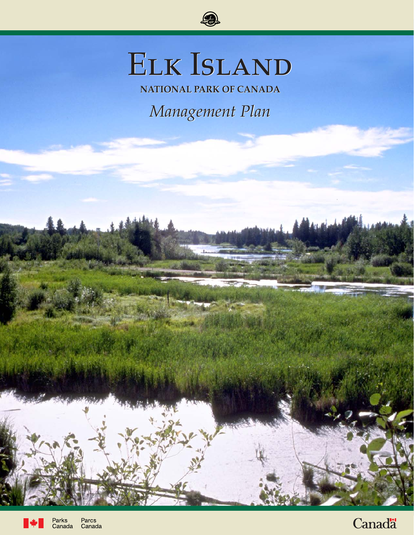

# Elk Island Elk Island

**NATIONAL PARK OF CANADA NATIONAL PARK OF CANADA**

*Management Plan Management Plan*



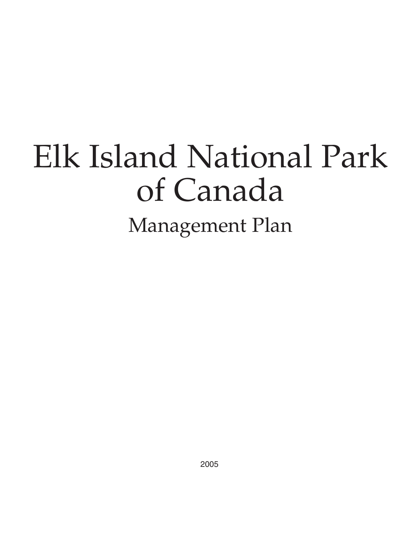# Elk Island National Park of Canada Management Plan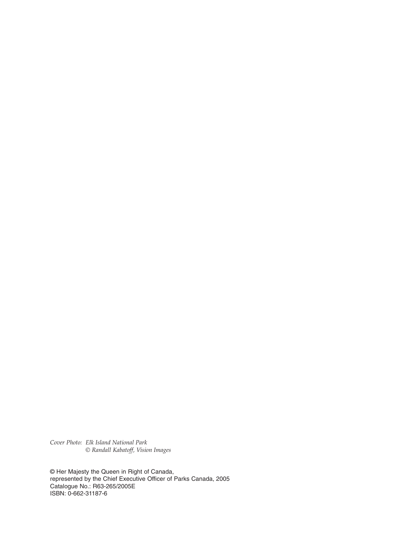*Cover Photo: Elk Island National Park © Randall Kabatoff, Vision Images*

© Her Majesty the Queen in Right of Canada, represented by the Chief Executive Officer of Parks Canada, 2005 Catalogue No.: R63-265/2005E ISBN: 0-662-31187-6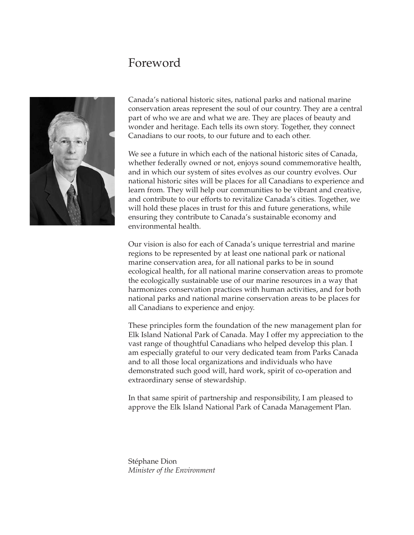# Foreword



Canada's national historic sites, national parks and national marine conservation areas represent the soul of our country. They are a central part of who we are and what we are. They are places of beauty and wonder and heritage. Each tells its own story. Together, they connect Canadians to our roots, to our future and to each other.

We see a future in which each of the national historic sites of Canada, whether federally owned or not, enjoys sound commemorative health, and in which our system of sites evolves as our country evolves. Our national historic sites will be places for all Canadians to experience and learn from. They will help our communities to be vibrant and creative, and contribute to our efforts to revitalize Canada's cities. Together, we will hold these places in trust for this and future generations, while ensuring they contribute to Canada's sustainable economy and environmental health.

Our vision is also for each of Canada's unique terrestrial and marine regions to be represented by at least one national park or national marine conservation area, for all national parks to be in sound ecological health, for all national marine conservation areas to promote the ecologically sustainable use of our marine resources in a way that harmonizes conservation practices with human activities, and for both national parks and national marine conservation areas to be places for all Canadians to experience and enjoy.

These principles form the foundation of the new management plan for Elk Island National Park of Canada. May I offer my appreciation to the vast range of thoughtful Canadians who helped develop this plan. I am especially grateful to our very dedicated team from Parks Canada and to all those local organizations and individuals who have demonstrated such good will, hard work, spirit of co-operation and extraordinary sense of stewardship.

In that same spirit of partnership and responsibility, I am pleased to approve the Elk Island National Park of Canada Management Plan.

Stéphane Dion *Minister of the Environment*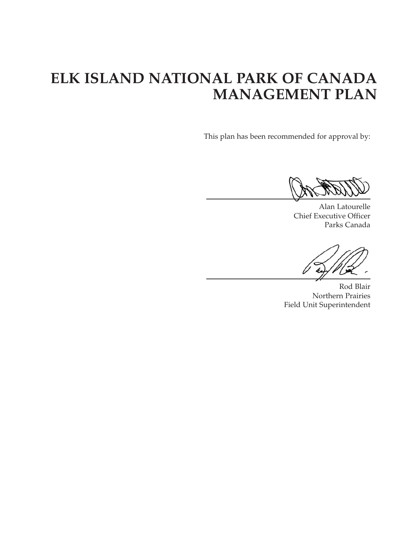# **ELK ISLAND NATIONAL PARK OF CANADA MANAGEMENT PLAN**

This plan has been recommended for approval This plan has been recommended for approval by:

Alan Latourelle Chief Executive Officer Parks Canada

Rod Blair Northern Prairies Field Unit Superintendent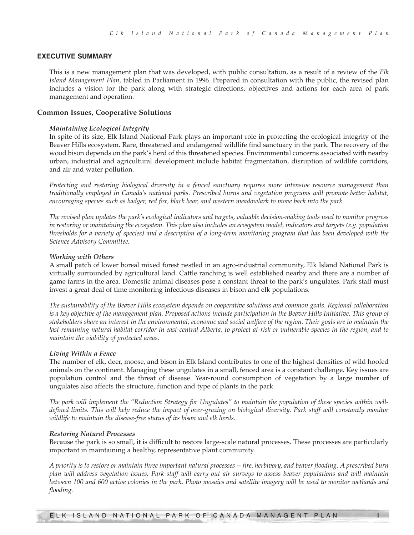#### **EXECUTIVE SUMMARY**

This is a new management plan that was developed, with public consultation, as a result of a review of the *Elk Island Management Plan*, tabled in Parliament in 1996. Prepared in consultation with the public, the revised plan includes a vision for the park along with strategic directions, objectives and actions for each area of park management and operation.

#### **Common Issues, Cooperative Solutions**

#### *Maintaining Ecological Integrity*

In spite of its size, Elk Island National Park plays an important role in protecting the ecological integrity of the Beaver Hills ecosystem. Rare, threatened and endangered wildlife find sanctuary in the park. The recovery of the wood bison depends on the park's herd of this threatened species. Environmental concerns associated with nearby urban, industrial and agricultural development include habitat fragmentation, disruption of wildlife corridors, and air and water pollution.

*Protecting and restoring biological diversity in a fenced sanctuary requires more intensive resource management than traditionally employed in Canada's national parks. Prescribed burns and vegetation programs will promote better habitat, encouraging species such as badger, red fox, black bear, and western meadowlark to move back into the park.*

*The revised plan updates the park's ecological indicators and targets, valuable decision-making tools used to monitor progress in restoring or maintaining the ecosystem. This plan also includes an ecosystem model, indicators and targets (e.g. population thresholds for a variety of species) and a description of a long-term monitoring program that has been developed with the Science Advisory Committee.*

#### *Working with Others*

A small patch of lower boreal mixed forest nestled in an agro-industrial community, Elk Island National Park is virtually surrounded by agricultural land. Cattle ranching is well established nearby and there are a number of game farms in the area. Domestic animal diseases pose a constant threat to the park's ungulates. Park staff must invest a great deal of time monitoring infectious diseases in bison and elk populations.

*The sustainability of the Beaver Hills ecosystem depends on cooperative solutions and common goals. Regional collaboration is a key objective of the management plan. Proposed actions include participation in the Beaver Hills Initiative. This group of stakeholders share an interest in the environmental, economic and social welfare of the region. Their goals are to maintain the last remaining natural habitat corridor in east-central Alberta, to protect at-risk or vulnerable species in the region, and to maintain the viability of protected areas.*

#### *Living Within a Fence*

The number of elk, deer, moose, and bison in Elk Island contributes to one of the highest densities of wild hoofed animals on the continent. Managing these ungulates in a small, fenced area is a constant challenge. Key issues are population control and the threat of disease. Year-round consumption of vegetation by a large number of ungulates also affects the structure, function and type of plants in the park.

*The park will implement the "Reduction Strategy for Ungulates" to maintain the population of these species within welldefined limits. This will help reduce the impact of over-grazing on biological diversity. Park staff will constantly monitor wildlife to maintain the disease-free status of its bison and elk herds.*

#### *Restoring Natural Processes*

Because the park is so small, it is difficult to restore large-scale natural processes. These processes are particularly important in maintaining a healthy, representative plant community.

*A priority is to restore or maintain three important natural processes -- fire, herbivory, and beaver flooding. A prescribed burn plan will address vegetation issues. Park staff will carry out air surveys to assess beaver populations and will maintain between 100 and 600 active colonies in the park. Photo mosaics and satellite imagery will be used to monitor wetlands and flooding.*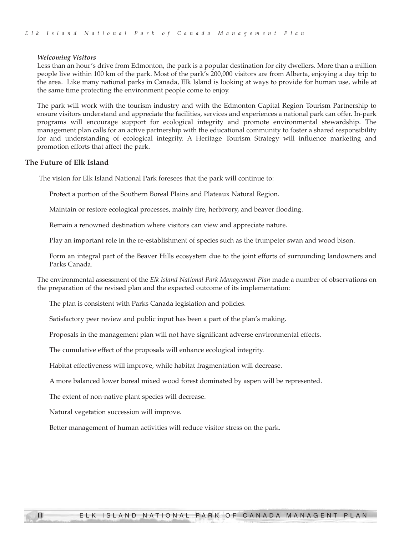#### *Welcoming Visitors*

Less than an hour's drive from Edmonton, the park is a popular destination for city dwellers. More than a million people live within 100 km of the park. Most of the park's 200,000 visitors are from Alberta, enjoying a day trip to the area. Like many national parks in Canada, Elk Island is looking at ways to provide for human use, while at the same time protecting the environment people come to enjoy.

The park will work with the tourism industry and with the Edmonton Capital Region Tourism Partnership to ensure visitors understand and appreciate the facilities, services and experiences a national park can offer. In-park programs will encourage support for ecological integrity and promote environmental stewardship. The management plan calls for an active partnership with the educational community to foster a shared responsibility for and understanding of ecological integrity. A Heritage Tourism Strategy will influence marketing and promotion efforts that affect the park.

#### **The Future of Elk Island**

The vision for Elk Island National Park foresees that the park will continue to:

Protect a portion of the Southern Boreal Plains and Plateaux Natural Region.

Maintain or restore ecological processes, mainly fire, herbivory, and beaver flooding.

Remain a renowned destination where visitors can view and appreciate nature.

Play an important role in the re-establishment of species such as the trumpeter swan and wood bison.

Form an integral part of the Beaver Hills ecosystem due to the joint efforts of surrounding landowners and Parks Canada.

The environmental assessment of the *Elk Island National Park Management Plan* made a number of observations on the preparation of the revised plan and the expected outcome of its implementation:

The plan is consistent with Parks Canada legislation and policies.

Satisfactory peer review and public input has been a part of the plan's making.

Proposals in the management plan will not have significant adverse environmental effects.

The cumulative effect of the proposals will enhance ecological integrity.

Habitat effectiveness will improve, while habitat fragmentation will decrease.

A more balanced lower boreal mixed wood forest dominated by aspen will be represented.

The extent of non-native plant species will decrease.

Natural vegetation succession will improve.

Better management of human activities will reduce visitor stress on the park.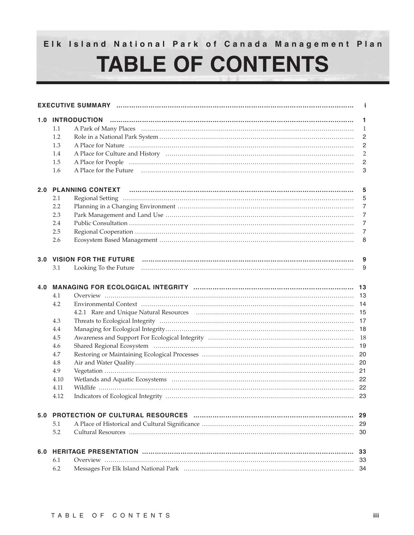# **Elk Island National Park of Canada Management Plan TABLE OF CONTENTS**

|     |      |                                                                                                                                                                                                                                | Ť.             |
|-----|------|--------------------------------------------------------------------------------------------------------------------------------------------------------------------------------------------------------------------------------|----------------|
|     |      | <b>1.0 INTRODUCTION</b>                                                                                                                                                                                                        | 1              |
|     | 1.1  |                                                                                                                                                                                                                                | $\mathbf{1}$   |
|     | 1.2  |                                                                                                                                                                                                                                | 2              |
|     | 1.3  |                                                                                                                                                                                                                                | 2              |
|     | 1.4  |                                                                                                                                                                                                                                | $\overline{2}$ |
|     | 1.5  |                                                                                                                                                                                                                                | $\sqrt{2}$     |
|     | 1.6  |                                                                                                                                                                                                                                | З              |
|     |      | <b>2.0 PLANNING CONTEXT</b>                                                                                                                                                                                                    | 5              |
|     | 2.1  |                                                                                                                                                                                                                                | 5              |
|     | 2.2  |                                                                                                                                                                                                                                | 7              |
|     | 2.3  |                                                                                                                                                                                                                                | $\overline{7}$ |
|     | 2.4  |                                                                                                                                                                                                                                | $\overline{7}$ |
|     | 2.5  |                                                                                                                                                                                                                                | $\overline{7}$ |
|     | 2.6  |                                                                                                                                                                                                                                | 8              |
| 3.0 |      |                                                                                                                                                                                                                                | 9              |
|     | 3.1  | Looking To the Future manufacture contracts and the state of the state of the state of the state of the state of the state of the state of the state of the state of the state of the state of the state of the state of the s | 9              |
| 4.0 |      |                                                                                                                                                                                                                                |                |
|     | 4.1  |                                                                                                                                                                                                                                | 13             |
|     | 4.2  |                                                                                                                                                                                                                                | 14             |
|     |      |                                                                                                                                                                                                                                | 15             |
|     | 4.3  |                                                                                                                                                                                                                                | 17             |
|     | 4.4  |                                                                                                                                                                                                                                | 18             |
|     | 4.5  |                                                                                                                                                                                                                                | 18             |
|     | 4.6  |                                                                                                                                                                                                                                |                |
|     | 4.7  |                                                                                                                                                                                                                                |                |
|     | 4.8  |                                                                                                                                                                                                                                | 20             |
|     | 4.9  |                                                                                                                                                                                                                                | 21             |
|     | 4.10 |                                                                                                                                                                                                                                | 22             |
|     | 4.11 |                                                                                                                                                                                                                                | 22             |
|     | 4.12 |                                                                                                                                                                                                                                |                |
|     |      |                                                                                                                                                                                                                                | 29             |
|     | 5.1  |                                                                                                                                                                                                                                | 29             |
|     | 5.2  |                                                                                                                                                                                                                                | 30             |
|     |      |                                                                                                                                                                                                                                | 33             |
|     | 6.1  |                                                                                                                                                                                                                                | -33            |
|     | 6.2  |                                                                                                                                                                                                                                | -34            |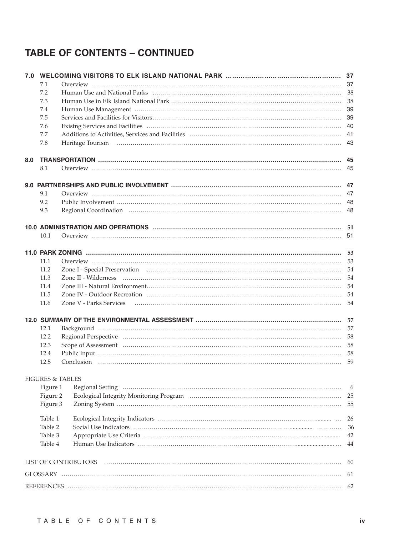# **TABLE OF CONTENTS – CONTINUED**

|     | 7.1                |                             |      |
|-----|--------------------|-----------------------------|------|
|     | 7.2                |                             |      |
|     | 7.3                |                             |      |
|     | 7.4                |                             |      |
|     | 7.5                |                             |      |
|     | 7.6                |                             |      |
|     | 7.7                |                             |      |
|     | 7.8                |                             |      |
| 8.0 |                    |                             |      |
|     | 8.1                |                             |      |
|     |                    |                             |      |
|     |                    |                             |      |
|     | 9.1                |                             |      |
|     | 9.2                |                             |      |
|     | 9.3                |                             |      |
|     |                    |                             |      |
|     | 10.1               |                             |      |
|     |                    |                             |      |
|     |                    |                             |      |
|     | 11.1               |                             |      |
|     | 11.2               |                             |      |
|     | 11.3               |                             |      |
|     | 11.4               |                             |      |
|     | 11.5               |                             |      |
|     | 11.6               | Zone V - Parks Services     | 54   |
|     |                    |                             |      |
|     |                    |                             | 57   |
|     | 12.1               |                             |      |
|     | 12.2               |                             |      |
|     | 12.3               |                             |      |
|     | 12.4               |                             | 58   |
|     | 12.5               |                             | 59   |
|     |                    | <b>FIGURES &amp; TABLES</b> |      |
|     | Figure 1           |                             | 6    |
|     | Figure 2           |                             | 25   |
|     | Figure 3           |                             | 55   |
|     | Table 1            |                             |      |
|     |                    |                             | - 26 |
|     | Table 2<br>Table 3 |                             | 36   |
|     |                    |                             | 42   |
|     | Table 4            |                             | 44   |
|     |                    | LIST OF CONTRIBUTORS        | 60   |
|     |                    |                             | -61  |
|     |                    |                             | 62   |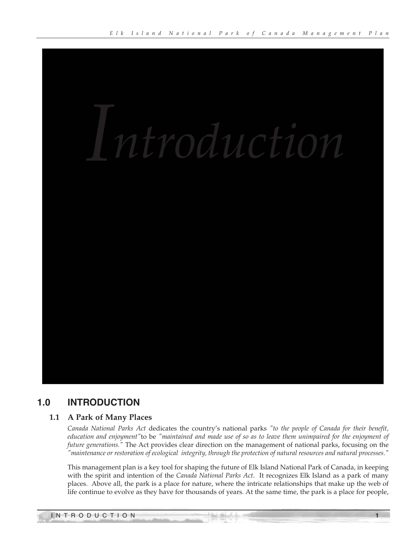

## **1.0 INTRODUCTION**

## **1.1 A Park of Many Places**

*Canada National Parks Act* dedicates the country's national parks *"to the people of Canada for their benefit, education and enjoyment"*to be *"maintained and made use of so as to leave them unimpaired for the enjoyment of future generations."* The Act provides clear direction on the management of national parks, focusing on the *"maintenance or restoration of ecological integrity, through the protection of natural resources and natural processes."*

This management plan is a key tool for shaping the future of Elk Island National Park of Canada, in keeping with the spirit and intention of the *Canada National Parks Act*. It recognizes Elk Island as a park of many places. Above all, the park is a place for nature, where the intricate relationships that make up the web of life continue to evolve as they have for thousands of years. At the same time, the park is a place for people,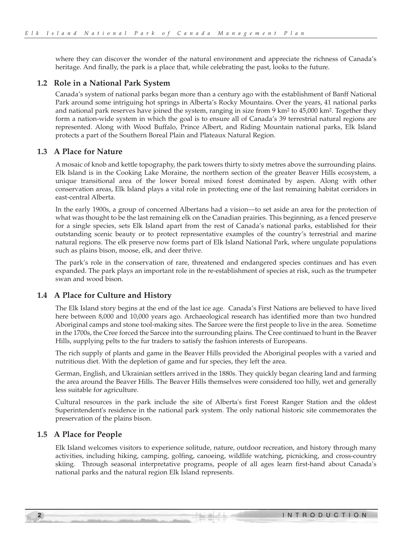where they can discover the wonder of the natural environment and appreciate the richness of Canada's heritage. And finally, the park is a place that, while celebrating the past, looks to the future.

#### **1.2 Role in a National Park System**

Canada's system of national parks began more than a century ago with the establishment of Banff National Park around some intriguing hot springs in Alberta's Rocky Mountains. Over the years, 41 national parks and national park reserves have joined the system, ranging in size from  $9 \text{ km}^2$  to  $45,000 \text{ km}^2$ . Together they form a nation-wide system in which the goal is to ensure all of Canada's 39 terrestrial natural regions are represented. Along with Wood Buffalo, Prince Albert, and Riding Mountain national parks, Elk Island protects a part of the Southern Boreal Plain and Plateaux Natural Region.

#### **1.3 A Place for Nature**

A mosaic of knob and kettle topography, the park towers thirty to sixty metres above the surrounding plains. Elk Island is in the Cooking Lake Moraine, the northern section of the greater Beaver Hills ecosystem, a unique transitional area of the lower boreal mixed forest dominated by aspen. Along with other conservation areas, Elk Island plays a vital role in protecting one of the last remaining habitat corridors in east-central Alberta.

In the early 1900s, a group of concerned Albertans had a vision—to set aside an area for the protection of what was thought to be the last remaining elk on the Canadian prairies. This beginning, as a fenced preserve for a single species, sets Elk Island apart from the rest of Canada's national parks, established for their outstanding scenic beauty or to protect representative examples of the country's terrestrial and marine natural regions. The elk preserve now forms part of Elk Island National Park, where ungulate populations such as plains bison, moose, elk, and deer thrive.

The park's role in the conservation of rare, threatened and endangered species continues and has even expanded. The park plays an important role in the re-establishment of species at risk, such as the trumpeter swan and wood bison.

## **1.4 A Place for Culture and History**

The Elk Island story begins at the end of the last ice age. Canada's First Nations are believed to have lived here between 8,000 and 10,000 years ago. Archaeological research has identified more than two hundred Aboriginal camps and stone tool-making sites. The Sarcee were the first people to live in the area. Sometime in the 1700s, the Cree forced the Sarcee into the surrounding plains. The Cree continued to hunt in the Beaver Hills, supplying pelts to the fur traders to satisfy the fashion interests of Europeans.

The rich supply of plants and game in the Beaver Hills provided the Aboriginal peoples with a varied and nutritious diet. With the depletion of game and fur species, they left the area.

German, English, and Ukrainian settlers arrived in the 1880s. They quickly began clearing land and farming the area around the Beaver Hills. The Beaver Hills themselves were considered too hilly, wet and generally less suitable for agriculture.

Cultural resources in the park include the site of Alberta's first Forest Ranger Station and the oldest Superintendent's residence in the national park system. The only national historic site commemorates the preservation of the plains bison.

## **1.5 A Place for People**

Elk Island welcomes visitors to experience solitude, nature, outdoor recreation, and history through many activities, including hiking, camping, golfing, canoeing, wildlife watching, picnicking, and cross-country skiing. Through seasonal interpretative programs, people of all ages learn first-hand about Canada's national parks and the natural region Elk Island represents.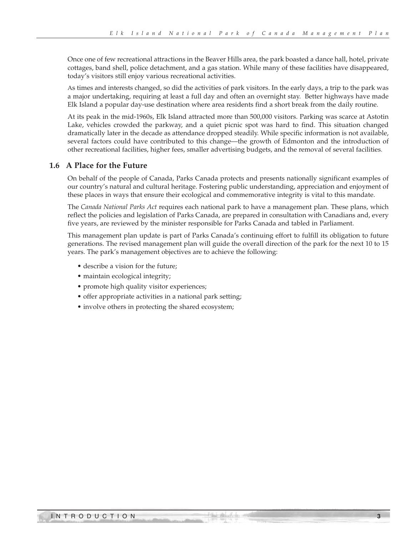Once one of few recreational attractions in the Beaver Hills area, the park boasted a dance hall, hotel, private cottages, band shell, police detachment, and a gas station. While many of these facilities have disappeared, today's visitors still enjoy various recreational activities.

As times and interests changed, so did the activities of park visitors. In the early days, a trip to the park was a major undertaking, requiring at least a full day and often an overnight stay. Better highways have made Elk Island a popular day-use destination where area residents find a short break from the daily routine.

At its peak in the mid-1960s, Elk Island attracted more than 500,000 visitors. Parking was scarce at Astotin Lake, vehicles crowded the parkway, and a quiet picnic spot was hard to find. This situation changed dramatically later in the decade as attendance dropped steadily. While specific information is not available, several factors could have contributed to this change—the growth of Edmonton and the introduction of other recreational facilities, higher fees, smaller advertising budgets, and the removal of several facilities.

## **1.6 A Place for the Future**

On behalf of the people of Canada, Parks Canada protects and presents nationally significant examples of our country's natural and cultural heritage. Fostering public understanding, appreciation and enjoyment of these places in ways that ensure their ecological and commemorative integrity is vital to this mandate.

The *Canada National Parks Act* requires each national park to have a management plan. These plans, which reflect the policies and legislation of Parks Canada, are prepared in consultation with Canadians and, every five years, are reviewed by the minister responsible for Parks Canada and tabled in Parliament.

This management plan update is part of Parks Canada's continuing effort to fulfill its obligation to future generations. The revised management plan will guide the overall direction of the park for the next 10 to 15 years. The park's management objectives are to achieve the following:

- describe a vision for the future;
- maintain ecological integrity;
- promote high quality visitor experiences;
- offer appropriate activities in a national park setting;
- involve others in protecting the shared ecosystem;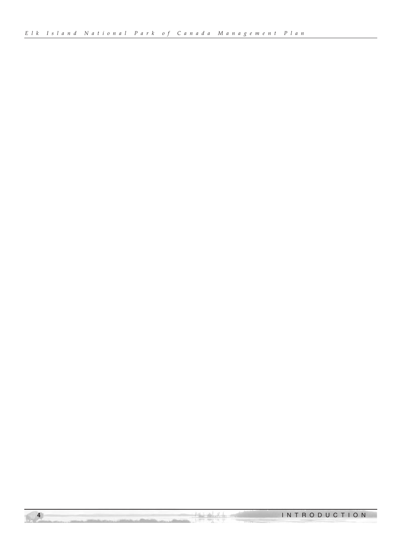|  | <i>INTRODUCTION</i> |
|--|---------------------|
|  |                     |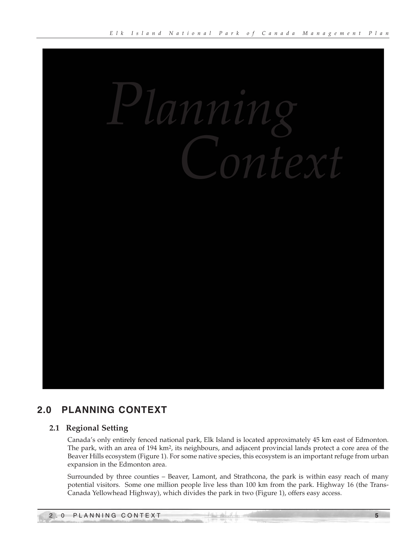

# **2.0 PLANNING CONTEXT**

## **2.1 Regional Setting**

Canada's only entirely fenced national park, Elk Island is located approximately 45 km east of Edmonton. The park, with an area of 194 km2, its neighbours, and adjacent provincial lands protect a core area of the Beaver Hills ecosystem (Figure 1). For some native species, this ecosystem is an important refuge from urban expansion in the Edmonton area.

Surrounded by three counties – Beaver, Lamont, and Strathcona, the park is within easy reach of many potential visitors. Some one million people live less than 100 km from the park. Highway 16 (the Trans-Canada Yellowhead Highway), which divides the park in two (Figure 1), offers easy access.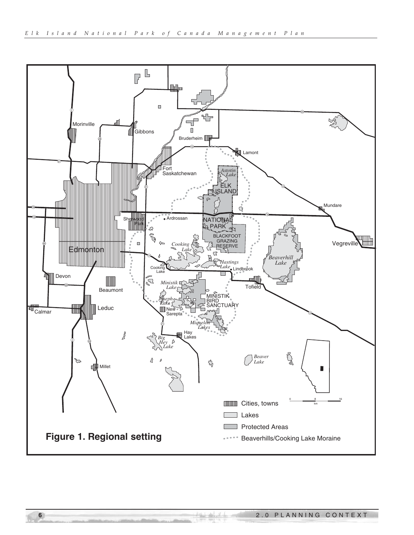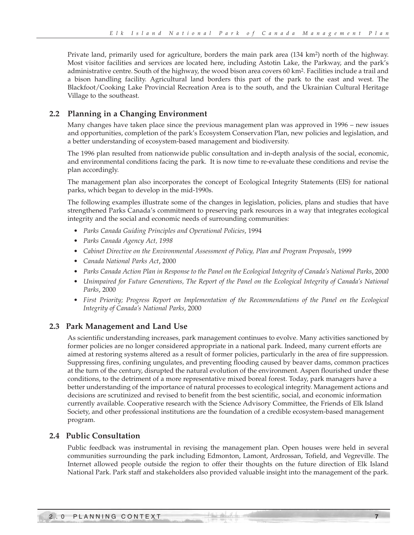Private land, primarily used for agriculture, borders the main park area (134 km2) north of the highway. Most visitor facilities and services are located here, including Astotin Lake, the Parkway, and the park's administrative centre. South of the highway, the wood bison area covers 60 km2. Facilities include a trail and a bison handling facility. Agricultural land borders this part of the park to the east and west. The Blackfoot/Cooking Lake Provincial Recreation Area is to the south, and the Ukrainian Cultural Heritage Village to the southeast.

## **2.2 Planning in a Changing Environment**

Many changes have taken place since the previous management plan was approved in 1996 – new issues and opportunities, completion of the park's Ecosystem Conservation Plan, new policies and legislation, and a better understanding of ecosystem-based management and biodiversity.

The 1996 plan resulted from nationwide public consultation and in-depth analysis of the social, economic, and environmental conditions facing the park. It is now time to re-evaluate these conditions and revise the plan accordingly.

The management plan also incorporates the concept of Ecological Integrity Statements (EIS) for national parks, which began to develop in the mid-1990s.

The following examples illustrate some of the changes in legislation, policies, plans and studies that have strengthened Parks Canada's commitment to preserving park resources in a way that integrates ecological integrity and the social and economic needs of surrounding communities:

- *Parks Canada Guiding Principles and Operational Policies*, 1994
- *Parks Canada Agency Act, 1998*
- *Cabinet Directive on the Environmental Assessment of Policy, Plan and Program Proposals*, 1999
- *Canada National Parks Act*, 2000
- *Parks Canada Action Plan in Response to the Panel on the Ecological Integrity of Canada's National Parks*, 2000
- *Unimpaired for Future Generations, The Report of the Panel on the Ecological Integrity of Canada's National Parks*, 2000
- *First Priority; Progress Report on Implementation of the Recommendations of the Panel on the Ecological Integrity of Canada's National Parks*, 2000

## **2.3 Park Management and Land Use**

As scientific understanding increases, park management continues to evolve. Many activities sanctioned by former policies are no longer considered appropriate in a national park. Indeed, many current efforts are aimed at restoring systems altered as a result of former policies, particularly in the area of fire suppression. Suppressing fires, confining ungulates, and preventing flooding caused by beaver dams, common practices at the turn of the century, disrupted the natural evolution of the environment. Aspen flourished under these conditions, to the detriment of a more representative mixed boreal forest. Today, park managers have a better understanding of the importance of natural processes to ecological integrity. Management actions and decisions are scrutinized and revised to benefit from the best scientific, social, and economic information currently available. Cooperative research with the Science Advisory Committee, the Friends of Elk Island Society, and other professional institutions are the foundation of a credible ecosystem-based management program.

## **2.4 Public Consultation**

Public feedback was instrumental in revising the management plan. Open houses were held in several communities surrounding the park including Edmonton, Lamont, Ardrossan, Tofield, and Vegreville. The Internet allowed people outside the region to offer their thoughts on the future direction of Elk Island National Park. Park staff and stakeholders also provided valuable insight into the management of the park.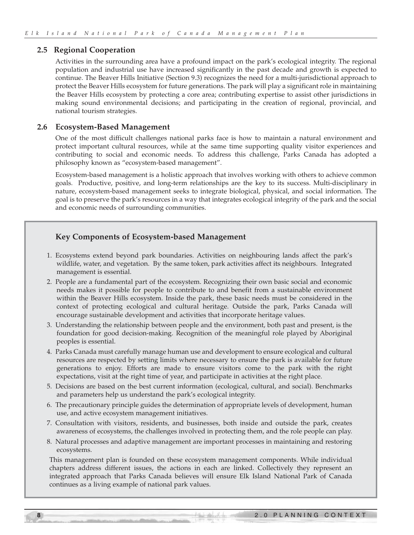## **2.5 Regional Cooperation**

Activities in the surrounding area have a profound impact on the park's ecological integrity. The regional population and industrial use have increased significantly in the past decade and growth is expected to continue. The Beaver Hills Initiative (Section 9.3) recognizes the need for a multi-jurisdictional approach to protect the Beaver Hills ecosystem for future generations. The park will play a significant role in maintaining the Beaver Hills ecosystem by protecting a core area; contributing expertise to assist other jurisdictions in making sound environmental decisions; and participating in the creation of regional, provincial, and national tourism strategies.

## **2.6 Ecosystem-Based Management**

One of the most difficult challenges national parks face is how to maintain a natural environment and protect important cultural resources, while at the same time supporting quality visitor experiences and contributing to social and economic needs. To address this challenge, Parks Canada has adopted a philosophy known as "ecosystem-based management".

Ecosystem-based management is a holistic approach that involves working with others to achieve common goals. Productive, positive, and long-term relationships are the key to its success. Multi-disciplinary in nature, ecosystem-based management seeks to integrate biological, physical, and social information. The goal is to preserve the park's resources in a way that integrates ecological integrity of the park and the social and economic needs of surrounding communities.

## **Key Components of Ecosystem-based Management**

- 1. Ecosystems extend beyond park boundaries. Activities on neighbouring lands affect the park's wildlife, water, and vegetation. By the same token, park activities affect its neighbours. Integrated management is essential.
- 2. People are a fundamental part of the ecosystem. Recognizing their own basic social and economic needs makes it possible for people to contribute to and benefit from a sustainable environment within the Beaver Hills ecosystem. Inside the park, these basic needs must be considered in the context of protecting ecological and cultural heritage. Outside the park, Parks Canada will encourage sustainable development and activities that incorporate heritage values.
- 3. Understanding the relationship between people and the environment, both past and present, is the foundation for good decision-making. Recognition of the meaningful role played by Aboriginal peoples is essential.
- 4. Parks Canada must carefully manage human use and development to ensure ecological and cultural resources are respected by setting limits where necessary to ensure the park is available for future generations to enjoy. Efforts are made to ensure visitors come to the park with the right expectations, visit at the right time of year, and participate in activities at the right place.
- 5. Decisions are based on the best current information (ecological, cultural, and social). Benchmarks and parameters help us understand the park's ecological integrity.
- 6. The precautionary principle guides the determination of appropriate levels of development, human use, and active ecosystem management initiatives.
- 7. Consultation with visitors, residents, and businesses, both inside and outside the park, creates awareness of ecosystems, the challenges involved in protecting them, and the role people can play.
- 8. Natural processes and adaptive management are important processes in maintaining and restoring ecosystems.

This management plan is founded on these ecosystem management components. While individual chapters address different issues, the actions in each are linked. Collectively they represent an integrated approach that Parks Canada believes will ensure Elk Island National Park of Canada continues as a living example of national park values.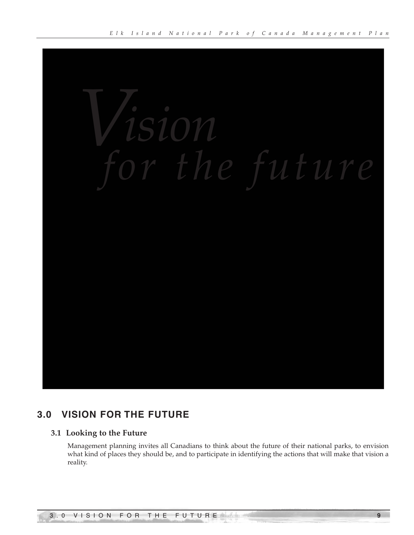

# **3.0 VISION FOR THE FUTURE**

## **3.1 Looking to the Future**

Management planning invites all Canadians to think about the future of their national parks, to envision what kind of places they should be, and to participate in identifying the actions that will make that vision a reality.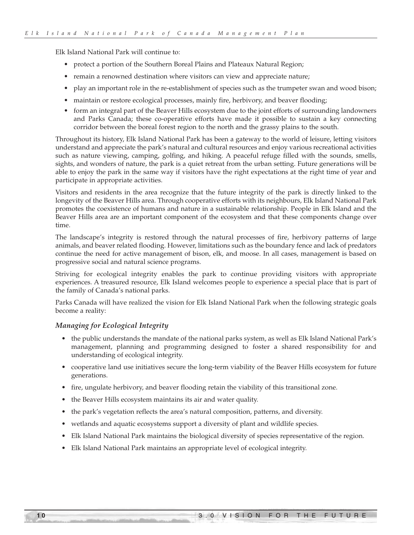Elk Island National Park will continue to:

- protect a portion of the Southern Boreal Plains and Plateaux Natural Region;
- remain a renowned destination where visitors can view and appreciate nature;
- play an important role in the re-establishment of species such as the trumpeter swan and wood bison;
- maintain or restore ecological processes, mainly fire, herbivory, and beaver flooding;
- form an integral part of the Beaver Hills ecosystem due to the joint efforts of surrounding landowners and Parks Canada; these co-operative efforts have made it possible to sustain a key connecting corridor between the boreal forest region to the north and the grassy plains to the south.

Throughout its history, Elk Island National Park has been a gateway to the world of leisure, letting visitors understand and appreciate the park's natural and cultural resources and enjoy various recreational activities such as nature viewing, camping, golfing, and hiking. A peaceful refuge filled with the sounds, smells, sights, and wonders of nature, the park is a quiet retreat from the urban setting. Future generations will be able to enjoy the park in the same way if visitors have the right expectations at the right time of year and participate in appropriate activities.

Visitors and residents in the area recognize that the future integrity of the park is directly linked to the longevity of the Beaver Hills area. Through cooperative efforts with its neighbours, Elk Island National Park promotes the coexistence of humans and nature in a sustainable relationship. People in Elk Island and the Beaver Hills area are an important component of the ecosystem and that these components change over time.

The landscape's integrity is restored through the natural processes of fire, herbivory patterns of large animals, and beaver related flooding. However, limitations such as the boundary fence and lack of predators continue the need for active management of bison, elk, and moose. In all cases, management is based on progressive social and natural science programs.

Striving for ecological integrity enables the park to continue providing visitors with appropriate experiences. A treasured resource, Elk Island welcomes people to experience a special place that is part of the family of Canada's national parks.

Parks Canada will have realized the vision for Elk Island National Park when the following strategic goals become a reality:

## *Managing for Ecological Integrity*

- the public understands the mandate of the national parks system, as well as Elk Island National Park's management, planning and programming designed to foster a shared responsibility for and understanding of ecological integrity.
- cooperative land use initiatives secure the long-term viability of the Beaver Hills ecosystem for future generations.
- fire, ungulate herbivory, and beaver flooding retain the viability of this transitional zone.
- the Beaver Hills ecosystem maintains its air and water quality.
- the park's vegetation reflects the area's natural composition, patterns, and diversity.
- wetlands and aquatic ecosystems support a diversity of plant and wildlife species.
- Elk Island National Park maintains the biological diversity of species representative of the region.
- Elk Island National Park maintains an appropriate level of ecological integrity.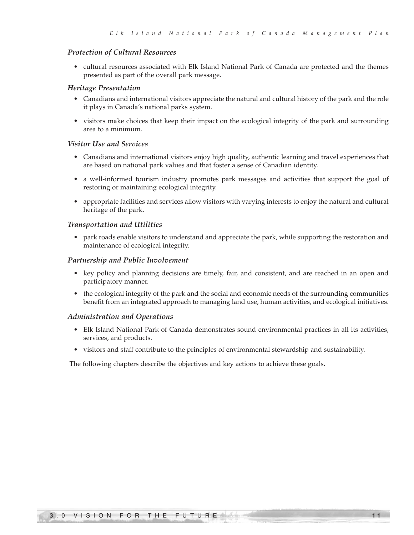## *Protection of Cultural Resources*

• cultural resources associated with Elk Island National Park of Canada are protected and the themes presented as part of the overall park message.

## *Heritage Presentation*

- Canadians and international visitors appreciate the natural and cultural history of the park and the role it plays in Canada's national parks system.
- visitors make choices that keep their impact on the ecological integrity of the park and surrounding area to a minimum.

## *Visitor Use and Services*

- Canadians and international visitors enjoy high quality, authentic learning and travel experiences that are based on national park values and that foster a sense of Canadian identity.
- a well-informed tourism industry promotes park messages and activities that support the goal of restoring or maintaining ecological integrity.
- appropriate facilities and services allow visitors with varying interests to enjoy the natural and cultural heritage of the park.

## *Transportation and Utilities*

• park roads enable visitors to understand and appreciate the park, while supporting the restoration and maintenance of ecological integrity.

## *Partnership and Public Involvement*

- key policy and planning decisions are timely, fair, and consistent, and are reached in an open and participatory manner.
- the ecological integrity of the park and the social and economic needs of the surrounding communities benefit from an integrated approach to managing land use, human activities, and ecological initiatives.

## *Administration and Operations*

- Elk Island National Park of Canada demonstrates sound environmental practices in all its activities, services, and products.
- visitors and staff contribute to the principles of environmental stewardship and sustainability.

The following chapters describe the objectives and key actions to achieve these goals.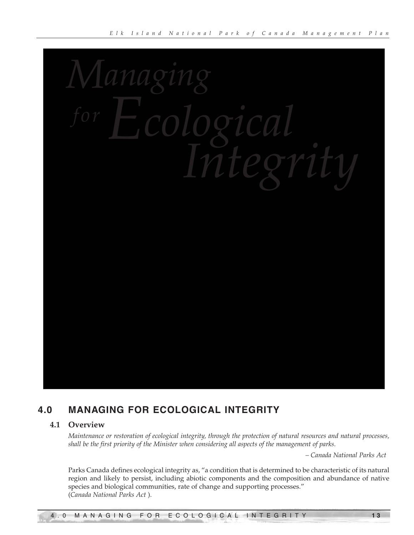

# **4.0 MANAGING FOR ECOLOGICAL INTEGRITY**

## **4.1 Overview**

*Maintenance or restoration of ecological integrity, through the protection of natural resources and natural processes, shall be the first priority of the Minister when considering all aspects of the management of parks.*

*– Canada National Parks Act*

Parks Canada defines ecological integrity as, "a condition that is determined to be characteristic of its natural region and likely to persist, including abiotic components and the composition and abundance of native species and biological communities, rate of change and supporting processes." (*Canada National Parks Act* ).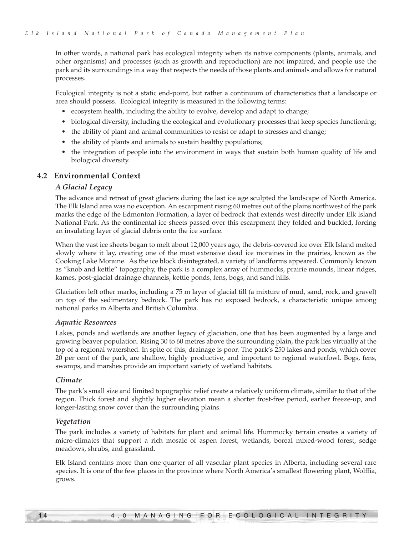In other words, a national park has ecological integrity when its native components (plants, animals, and other organisms) and processes (such as growth and reproduction) are not impaired, and people use the park and its surroundings in a way that respects the needs of those plants and animals and allows for natural processes.

Ecological integrity is not a static end-point, but rather a continuum of characteristics that a landscape or area should possess. Ecological integrity is measured in the following terms:

- ecosystem health, including the ability to evolve, develop and adapt to change;
- biological diversity, including the ecological and evolutionary processes that keep species functioning;
- the ability of plant and animal communities to resist or adapt to stresses and change;
- the ability of plants and animals to sustain healthy populations;
- the integration of people into the environment in ways that sustain both human quality of life and biological diversity.

## **4.2 Environmental Context**

## *A Glacial Legacy*

The advance and retreat of great glaciers during the last ice age sculpted the landscape of North America. The Elk Island area was no exception. An escarpment rising 60 metres out of the plains northwest of the park marks the edge of the Edmonton Formation, a layer of bedrock that extends west directly under Elk Island National Park. As the continental ice sheets passed over this escarpment they folded and buckled, forcing an insulating layer of glacial debris onto the ice surface.

When the vast ice sheets began to melt about 12,000 years ago, the debris-covered ice over Elk Island melted slowly where it lay, creating one of the most extensive dead ice moraines in the prairies, known as the Cooking Lake Moraine. As the ice block disintegrated, a variety of landforms appeared. Commonly known as "knob and kettle" topography, the park is a complex array of hummocks, prairie mounds, linear ridges, kames, post-glacial drainage channels, kettle ponds, fens, bogs, and sand hills.

Glaciation left other marks, including a 75 m layer of glacial till (a mixture of mud, sand, rock, and gravel) on top of the sedimentary bedrock. The park has no exposed bedrock, a characteristic unique among national parks in Alberta and British Columbia.

## *Aquatic Resources*

Lakes, ponds and wetlands are another legacy of glaciation, one that has been augmented by a large and growing beaver population. Rising 30 to 60 metres above the surrounding plain, the park lies virtually at the top of a regional watershed. In spite of this, drainage is poor. The park's 250 lakes and ponds, which cover 20 per cent of the park, are shallow, highly productive, and important to regional waterfowl. Bogs, fens, swamps, and marshes provide an important variety of wetland habitats.

## *Climate*

The park's small size and limited topographic relief create a relatively uniform climate, similar to that of the region. Thick forest and slightly higher elevation mean a shorter frost-free period, earlier freeze-up, and longer-lasting snow cover than the surrounding plains.

## *Vegetation*

The park includes a variety of habitats for plant and animal life. Hummocky terrain creates a variety of micro-climates that support a rich mosaic of aspen forest, wetlands, boreal mixed-wood forest, sedge meadows, shrubs, and grassland.

Elk Island contains more than one-quarter of all vascular plant species in Alberta, including several rare species. It is one of the few places in the province where North America's smallest flowering plant, Wolffia, grows.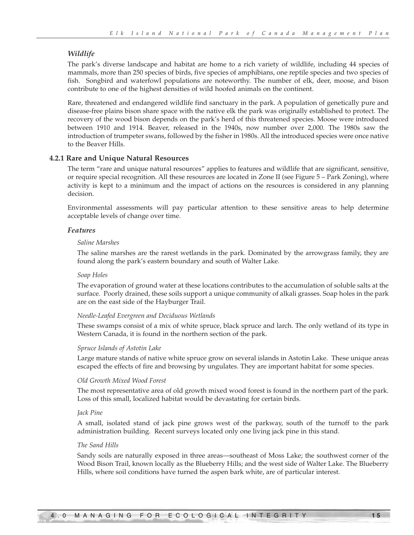#### *Wildlife*

The park's diverse landscape and habitat are home to a rich variety of wildlife, including 44 species of mammals, more than 250 species of birds, five species of amphibians, one reptile species and two species of fish. Songbird and waterfowl populations are noteworthy. The number of elk, deer, moose, and bison contribute to one of the highest densities of wild hoofed animals on the continent.

Rare, threatened and endangered wildlife find sanctuary in the park. A population of genetically pure and disease-free plains bison share space with the native elk the park was originally established to protect. The recovery of the wood bison depends on the park's herd of this threatened species. Moose were introduced between 1910 and 1914. Beaver, released in the 1940s, now number over 2,000. The 1980s saw the introduction of trumpeter swans, followed by the fisher in 1980s. All the introduced species were once native to the Beaver Hills.

#### **4.2.1 Rare and Unique Natural Resources**

The term "rare and unique natural resources" applies to features and wildlife that are significant, sensitive, or require special recognition. All these resources are located in Zone II (see Figure 5 – Park Zoning), where activity is kept to a minimum and the impact of actions on the resources is considered in any planning decision.

Environmental assessments will pay particular attention to these sensitive areas to help determine acceptable levels of change over time.

#### *Features*

#### *Saline Marshes*

The saline marshes are the rarest wetlands in the park. Dominated by the arrowgrass family, they are found along the park's eastern boundary and south of Walter Lake.

#### *Soap Holes*

The evaporation of ground water at these locations contributes to the accumulation of soluble salts at the surface. Poorly drained, these soils support a unique community of alkali grasses. Soap holes in the park are on the east side of the Hayburger Trail.

#### *Needle-Leafed Evergreen and Deciduous Wetlands*

These swamps consist of a mix of white spruce, black spruce and larch. The only wetland of its type in Western Canada, it is found in the northern section of the park.

#### *Spruce Islands of Astotin Lake*

Large mature stands of native white spruce grow on several islands in Astotin Lake. These unique areas escaped the effects of fire and browsing by ungulates. They are important habitat for some species.

#### *Old Growth Mixed Wood Forest*

The most representative area of old growth mixed wood forest is found in the northern part of the park. Loss of this small, localized habitat would be devastating for certain birds.

#### *Jack Pine*

A small, isolated stand of jack pine grows west of the parkway, south of the turnoff to the park administration building. Recent surveys located only one living jack pine in this stand.

#### *The Sand Hills*

Sandy soils are naturally exposed in three areas—southeast of Moss Lake; the southwest corner of the Wood Bison Trail, known locally as the Blueberry Hills; and the west side of Walter Lake. The Blueberry Hills, where soil conditions have turned the aspen bark white, are of particular interest.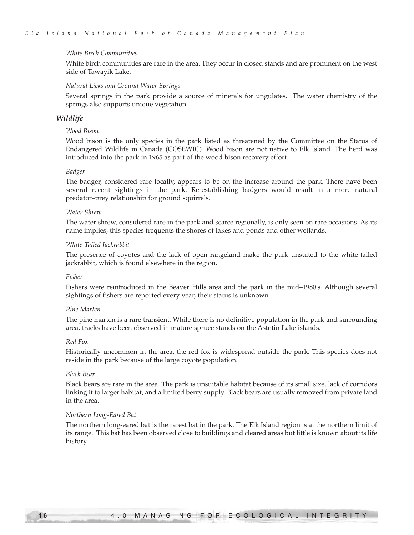#### *White Birch Communities*

White birch communities are rare in the area. They occur in closed stands and are prominent on the west side of Tawayik Lake.

#### *Natural Licks and Ground Water Springs*

Several springs in the park provide a source of minerals for ungulates. The water chemistry of the springs also supports unique vegetation.

#### *Wildlife*

#### *Wood Bison*

Wood bison is the only species in the park listed as threatened by the Committee on the Status of Endangered Wildlife in Canada (COSEWIC). Wood bison are not native to Elk Island. The herd was introduced into the park in 1965 as part of the wood bison recovery effort.

#### *Badger*

The badger, considered rare locally, appears to be on the increase around the park. There have been several recent sightings in the park. Re-establishing badgers would result in a more natural predator–prey relationship for ground squirrels.

#### *Water Shrew*

The water shrew, considered rare in the park and scarce regionally, is only seen on rare occasions. As its name implies, this species frequents the shores of lakes and ponds and other wetlands.

#### *White-Tailed Jackrabbit*

The presence of coyotes and the lack of open rangeland make the park unsuited to the white-tailed jackrabbit, which is found elsewhere in the region.

#### *Fisher*

Fishers were reintroduced in the Beaver Hills area and the park in the mid–1980's. Although several sightings of fishers are reported every year, their status is unknown.

#### *Pine Marten*

The pine marten is a rare transient. While there is no definitive population in the park and surrounding area, tracks have been observed in mature spruce stands on the Astotin Lake islands.

#### *Red Fox*

Historically uncommon in the area, the red fox is widespread outside the park. This species does not reside in the park because of the large coyote population.

#### *Black Bear*

Black bears are rare in the area. The park is unsuitable habitat because of its small size, lack of corridors linking it to larger habitat, and a limited berry supply. Black bears are usually removed from private land in the area.

#### *Northern Long-Eared Bat*

The northern long-eared bat is the rarest bat in the park. The Elk Island region is at the northern limit of its range. This bat has been observed close to buildings and cleared areas but little is known about its life history.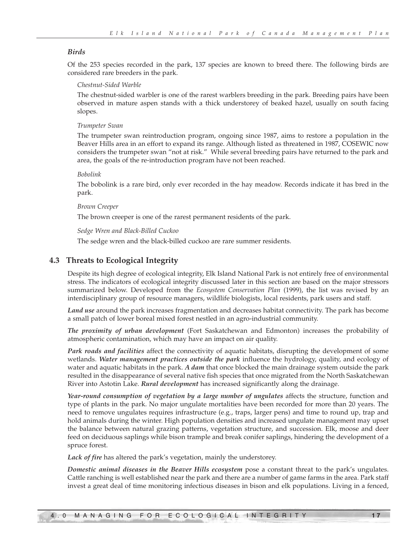## *Birds*

Of the 253 species recorded in the park, 137 species are known to breed there. The following birds are considered rare breeders in the park.

#### *Chestnut-Sided Warble*

The chestnut-sided warbler is one of the rarest warblers breeding in the park. Breeding pairs have been observed in mature aspen stands with a thick understorey of beaked hazel, usually on south facing slopes.

#### *Trumpeter Swan*

The trumpeter swan reintroduction program, ongoing since 1987, aims to restore a population in the Beaver Hills area in an effort to expand its range. Although listed as threatened in 1987, COSEWIC now considers the trumpeter swan "not at risk." While several breeding pairs have returned to the park and area, the goals of the re-introduction program have not been reached.

#### *Bobolink*

The bobolink is a rare bird, only ever recorded in the hay meadow. Records indicate it has bred in the park.

#### *Brown Creeper*

The brown creeper is one of the rarest permanent residents of the park.

#### *Sedge Wren and Black-Billed Cuckoo*

The sedge wren and the black-billed cuckoo are rare summer residents.

## **4.3 Threats to Ecological Integrity**

Despite its high degree of ecological integrity, Elk Island National Park is not entirely free of environmental stress. The indicators of ecological integrity discussed later in this section are based on the major stressors summarized below. Developed from the *Ecosystem Conservation Plan* (1999), the list was revised by an interdisciplinary group of resource managers, wildlife biologists, local residents, park users and staff.

*Land use* around the park increases fragmentation and decreases habitat connectivity. The park has become a small patch of lower boreal mixed forest nestled in an agro-industrial community.

*The proximity of urban development* (Fort Saskatchewan and Edmonton) increases the probability of atmospheric contamination, which may have an impact on air quality.

*Park roads and facilities* affect the connectivity of aquatic habitats, disrupting the development of some wetlands. *Water management practices outside the park* influence the hydrology, quality, and ecology of water and aquatic habitats in the park. *A dam* that once blocked the main drainage system outside the park resulted in the disappearance of several native fish species that once migrated from the North Saskatchewan River into Astotin Lake. *Rural development* has increased significantly along the drainage.

*Year-round consumption of vegetation by a large number of ungulates* affects the structure, function and type of plants in the park. No major ungulate mortalities have been recorded for more than 20 years. The need to remove ungulates requires infrastructure (e.g., traps, larger pens) and time to round up, trap and hold animals during the winter. High population densities and increased ungulate management may upset the balance between natural grazing patterns, vegetation structure, and succession. Elk, moose and deer feed on deciduous saplings while bison trample and break conifer saplings, hindering the development of a spruce forest.

*Lack of fire* has altered the park's vegetation, mainly the understorey.

*Domestic animal diseases in the Beaver Hills ecosystem* pose a constant threat to the park's ungulates. Cattle ranching is well established near the park and there are a number of game farms in the area. Park staff invest a great deal of time monitoring infectious diseases in bison and elk populations. Living in a fenced,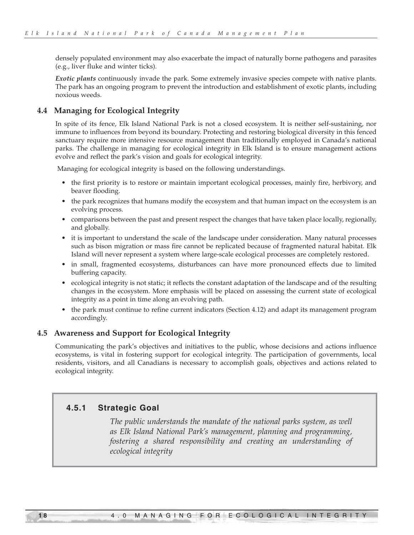densely populated environment may also exacerbate the impact of naturally borne pathogens and parasites (e.g., liver fluke and winter ticks).

*Exotic plants* continuously invade the park. Some extremely invasive species compete with native plants. The park has an ongoing program to prevent the introduction and establishment of exotic plants, including noxious weeds.

## **4.4 Managing for Ecological Integrity**

In spite of its fence, Elk Island National Park is not a closed ecosystem. It is neither self-sustaining, nor immune to influences from beyond its boundary. Protecting and restoring biological diversity in this fenced sanctuary require more intensive resource management than traditionally employed in Canada's national parks. The challenge in managing for ecological integrity in Elk Island is to ensure management actions evolve and reflect the park's vision and goals for ecological integrity.

Managing for ecological integrity is based on the following understandings.

- the first priority is to restore or maintain important ecological processes, mainly fire, herbivory, and beaver flooding.
- the park recognizes that humans modify the ecosystem and that human impact on the ecosystem is an evolving process.
- comparisons between the past and present respect the changes that have taken place locally, regionally, and globally.
- it is important to understand the scale of the landscape under consideration. Many natural processes such as bison migration or mass fire cannot be replicated because of fragmented natural habitat. Elk Island will never represent a system where large-scale ecological processes are completely restored.
- in small, fragmented ecosystems, disturbances can have more pronounced effects due to limited buffering capacity.
- ecological integrity is not static; it reflects the constant adaptation of the landscape and of the resulting changes in the ecosystem. More emphasis will be placed on assessing the current state of ecological integrity as a point in time along an evolving path.
- the park must continue to refine current indicators (Section 4.12) and adapt its management program accordingly.

## **4.5 Awareness and Support for Ecological Integrity**

Communicating the park's objectives and initiatives to the public, whose decisions and actions influence ecosystems, is vital in fostering support for ecological integrity. The participation of governments, local residents, visitors, and all Canadians is necessary to accomplish goals, objectives and actions related to ecological integrity.

## **4.5.1 Strategic Goal**

*The public understands the mandate of the national parks system, as well as Elk Island National Park's management, planning and programming, fostering a shared responsibility and creating an understanding of ecological integrity*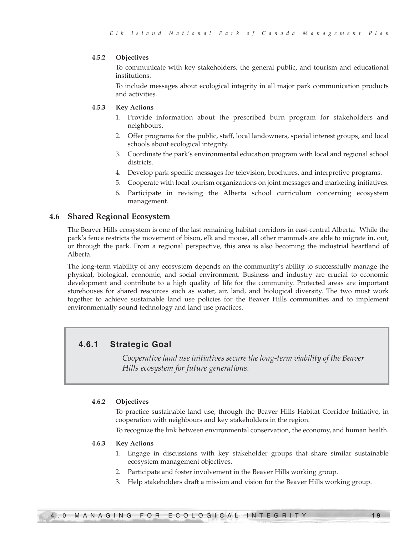## **4.5.2 Objectives**

To communicate with key stakeholders, the general public, and tourism and educational institutions.

To include messages about ecological integrity in all major park communication products and activities.

#### **4.5.3 Key Actions**

- 1. Provide information about the prescribed burn program for stakeholders and neighbours.
- 2. Offer programs for the public, staff, local landowners, special interest groups, and local schools about ecological integrity.
- 3. Coordinate the park's environmental education program with local and regional school districts.
- 4. Develop park-specific messages for television, brochures, and interpretive programs.
- 5. Cooperate with local tourism organizations on joint messages and marketing initiatives.
- 6. Participate in revising the Alberta school curriculum concerning ecosystem management.

## **4.6 Shared Regional Ecosystem**

The Beaver Hills ecosystem is one of the last remaining habitat corridors in east-central Alberta. While the park's fence restricts the movement of bison, elk and moose, all other mammals are able to migrate in, out, or through the park. From a regional perspective, this area is also becoming the industrial heartland of Alberta.

The long-term viability of any ecosystem depends on the community's ability to successfully manage the physical, biological, economic, and social environment. Business and industry are crucial to economic development and contribute to a high quality of life for the community. Protected areas are important storehouses for shared resources such as water, air, land, and biological diversity. The two must work together to achieve sustainable land use policies for the Beaver Hills communities and to implement environmentally sound technology and land use practices.

## **4.6.1 Strategic Goal**

*Cooperative land use initiatives secure the long-term viability of the Beaver Hills ecosystem for future generations.*

## **4.6.2 Objectives**

To practice sustainable land use, through the Beaver Hills Habitat Corridor Initiative, in cooperation with neighbours and key stakeholders in the region.

To recognize the link between environmental conservation, the economy, and human health.

#### **4.6.3 Key Actions**

- 1. Engage in discussions with key stakeholder groups that share similar sustainable ecosystem management objectives.
- 2. Participate and foster involvement in the Beaver Hills working group.
- 3. Help stakeholders draft a mission and vision for the Beaver Hills working group.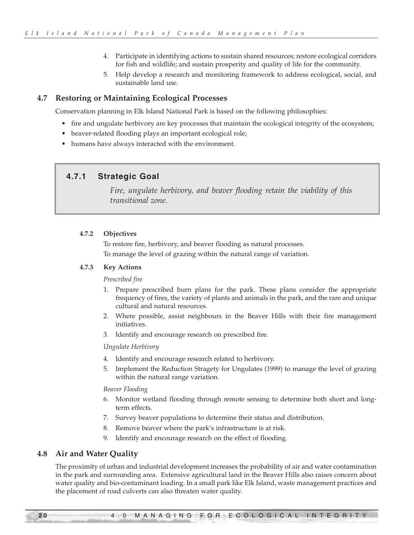- 4. Participate in identifying actions to sustain shared resources; restore ecological corridors for fish and wildlife; and sustain prosperity and quality of life for the community.
- 5. Help develop a research and monitoring framework to address ecological, social, and sustainable land use.

## **4.7 Restoring or Maintaining Ecological Processes**

Conservation planning in Elk Island National Park is based on the following philosophies:

- fire and ungulate herbivory are key processes that maintain the ecological integrity of the ecosystem;
- beaver-related flooding plays an important ecological role;
- humans have always interacted with the environment.

## **4.7.1 Strategic Goal**

*Fire, ungulate herbivory, and beaver flooding retain the viability of this transitional zone.*

#### **4.7.2 Objectives**

To restore fire, herbivory, and beaver flooding as natural processes. To manage the level of grazing within the natural range of variation.

#### **4.7.3 Key Actions**

#### *Prescribed fire*

- 1. Prepare prescribed burn plans for the park. These plans consider the appropriate frequency of fires, the variety of plants and animals in the park, and the rare and unique cultural and natural resources.
- 2. Where possible, assist neighbours in the Beaver Hills with their fire management initiatives.
- 3. Identify and encourage research on prescribed fire.

#### *Ungulate Herbivory*

- 4. Identify and encourage research related to herbivory.
- 5. Implement the Reduction Stragety for Ungulates (1999) to manage the level of grazing within the natural range variation.

#### *Beaver Flooding*

- 6. Monitor wetland flooding through remote sensing to determine both short and longterm effects.
- 7. Survey beaver populations to determine their status and distribution.
- 8. Remove beaver where the park's infrastructure is at risk.
- 9. Identify and encourage research on the effect of flooding.

## **4.8 Air and Water Quality**

The proximity of urban and industrial development increases the probability of air and water contamination in the park and surrounding area. Extensive agricultural land in the Beaver Hills also raises concern about water quality and bio-contaminant loading. In a small park like Elk Island, waste management practices and the placement of road culverts can also threaten water quality.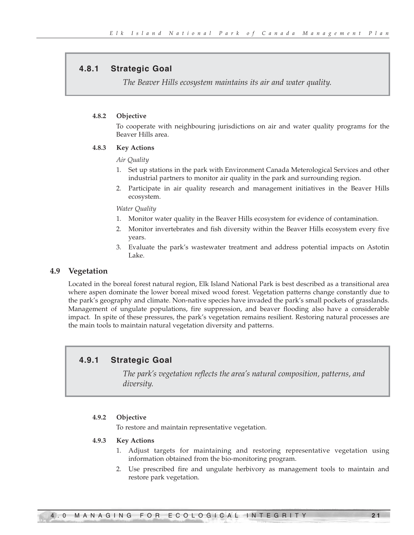## **4.8.1 Strategic Goal**

*The Beaver Hills ecosystem maintains its air and water quality.*

#### **4.8.2 Objective**

To cooperate with neighbouring jurisdictions on air and water quality programs for the Beaver Hills area.

#### **4.8.3 Key Actions**

#### *Air Quality*

- 1. Set up stations in the park with Environment Canada Meterological Services and other industrial partners to monitor air quality in the park and surrounding region.
- 2. Participate in air quality research and management initiatives in the Beaver Hills ecosystem.

#### *Water Quality*

- 1. Monitor water quality in the Beaver Hills ecosystem for evidence of contamination.
- 2. Monitor invertebrates and fish diversity within the Beaver Hills ecosystem every five years.
- 3. Evaluate the park's wastewater treatment and address potential impacts on Astotin Lake.

## **4.9 Vegetation**

Located in the boreal forest natural region, Elk Island National Park is best described as a transitional area where aspen dominate the lower boreal mixed wood forest. Vegetation patterns change constantly due to the park's geography and climate. Non-native species have invaded the park's small pockets of grasslands. Management of ungulate populations, fire suppression, and beaver flooding also have a considerable impact. In spite of these pressures, the park's vegetation remains resilient. Restoring natural processes are the main tools to maintain natural vegetation diversity and patterns.

## **4.9.1 Strategic Goal**

*The park's vegetation reflects the area's natural composition, patterns, and diversity.*

#### **4.9.2 Objective**

To restore and maintain representative vegetation.

## **4.9.3 Key Actions**

- 1. Adjust targets for maintaining and restoring representative vegetation using information obtained from the bio-monitoring program.
- 2. Use prescribed fire and ungulate herbivory as management tools to maintain and restore park vegetation.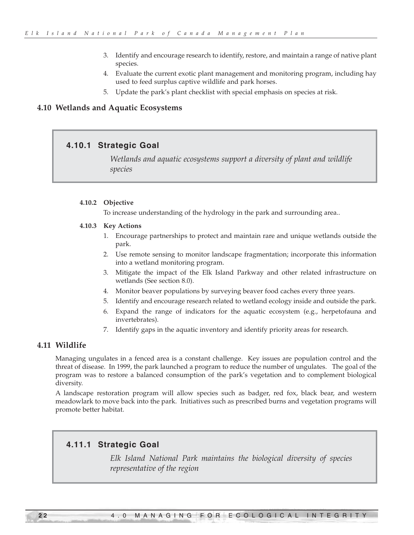- 3. Identify and encourage research to identify, restore, and maintain a range of native plant species.
- 4. Evaluate the current exotic plant management and monitoring program, including hay used to feed surplus captive wildlife and park horses.
- 5. Update the park's plant checklist with special emphasis on species at risk.

## **4.10 Wetlands and Aquatic Ecosystems**

## **4.10.1 Strategic Goal**

*Wetlands and aquatic ecosystems support a diversity of plant and wildlife species*

#### **4.10.2 Objective**

To increase understanding of the hydrology in the park and surrounding area..

#### **4.10.3 Key Actions**

- 1. Encourage partnerships to protect and maintain rare and unique wetlands outside the park.
- 2. Use remote sensing to monitor landscape fragmentation; incorporate this information into a wetland monitoring program.
- 3. Mitigate the impact of the Elk Island Parkway and other related infrastructure on wetlands (See section 8.0).
- 4. Monitor beaver populations by surveying beaver food caches every three years.
- 5. Identify and encourage research related to wetland ecology inside and outside the park.
- 6. Expand the range of indicators for the aquatic ecosystem (e.g., herpetofauna and invertebrates).
- 7. Identify gaps in the aquatic inventory and identify priority areas for research.

## **4.11 Wildlife**

Managing ungulates in a fenced area is a constant challenge. Key issues are population control and the threat of disease. In 1999, the park launched a program to reduce the number of ungulates. The goal of the program was to restore a balanced consumption of the park's vegetation and to complement biological diversity.

A landscape restoration program will allow species such as badger, red fox, black bear, and western meadowlark to move back into the park. Initiatives such as prescribed burns and vegetation programs will promote better habitat.

## **4.11.1 Strategic Goal**

*Elk Island National Park maintains the biological diversity of species representative of the region*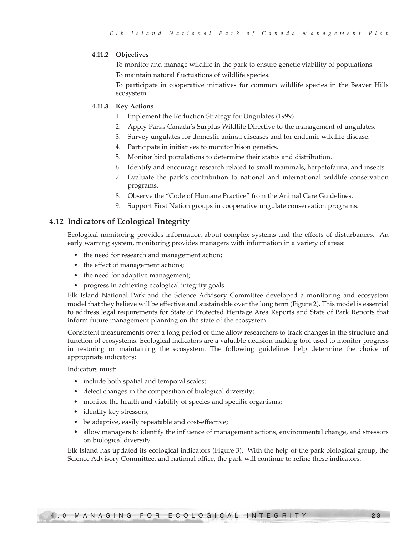## **4.11.2 Objectives**

To monitor and manage wildlife in the park to ensure genetic viability of populations. To maintain natural fluctuations of wildlife species.

To participate in cooperative initiatives for common wildlife species in the Beaver Hills ecosystem.

## **4.11.3 Key Actions**

- 1. Implement the Reduction Strategy for Ungulates (1999).
- 2. Apply Parks Canada's Surplus Wildlife Directive to the management of ungulates.
- 3. Survey ungulates for domestic animal diseases and for endemic wildlife disease.
- 4. Participate in initiatives to monitor bison genetics.
- 5. Monitor bird populations to determine their status and distribution.
- 6. Identify and encourage research related to small mammals, herpetofauna, and insects.
- 7. Evaluate the park's contribution to national and international wildlife conservation programs.
- 8. Observe the "Code of Humane Practice" from the Animal Care Guidelines.
- 9. Support First Nation groups in cooperative ungulate conservation programs.

## **4.12 Indicators of Ecological Integrity**

Ecological monitoring provides information about complex systems and the effects of disturbances. An early warning system, monitoring provides managers with information in a variety of areas:

- the need for research and management action;
- the effect of management actions;
- the need for adaptive management;
- progress in achieving ecological integrity goals.

Elk Island National Park and the Science Advisory Committee developed a monitoring and ecosystem model that they believe will be effective and sustainable over the long term (Figure 2). This model is essential to address legal requirements for State of Protected Heritage Area Reports and State of Park Reports that inform future management planning on the state of the ecosystem.

Consistent measurements over a long period of time allow researchers to track changes in the structure and function of ecosystems. Ecological indicators are a valuable decision-making tool used to monitor progress in restoring or maintaining the ecosystem. The following guidelines help determine the choice of appropriate indicators:

Indicators must:

- include both spatial and temporal scales;
- detect changes in the composition of biological diversity;
- monitor the health and viability of species and specific organisms;
- identify key stressors;
- be adaptive, easily repeatable and cost-effective;
- allow managers to identify the influence of management actions, environmental change, and stressors on biological diversity.

Elk Island has updated its ecological indicators (Figure 3). With the help of the park biological group, the Science Advisory Committee, and national office, the park will continue to refine these indicators.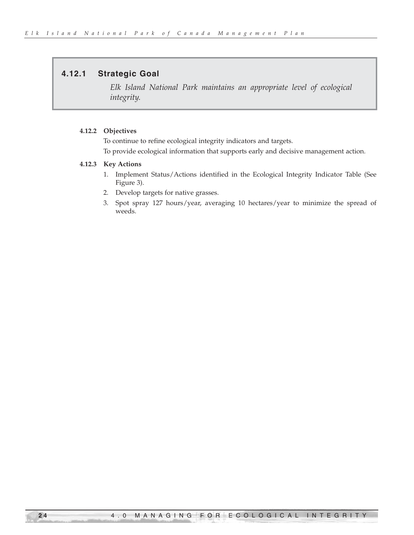## **4.12.1 Strategic Goal**

*Elk Island National Park maintains an appropriate level of ecological integrity.*

## **4.12.2 Objectives**

To continue to refine ecological integrity indicators and targets. To provide ecological information that supports early and decisive management action.

## **4.12.3 Key Actions**

- 1. Implement Status/Actions identified in the Ecological Integrity Indicator Table (See Figure 3).
- 2. Develop targets for native grasses.
- 3. Spot spray 127 hours/year, averaging 10 hectares/year to minimize the spread of weeds.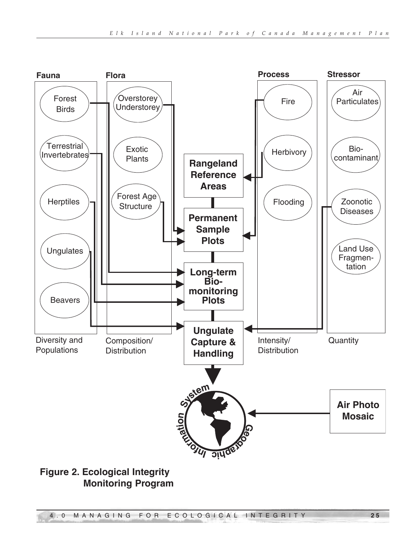

# **Figure 2. Ecological Integrity Monitoring Program**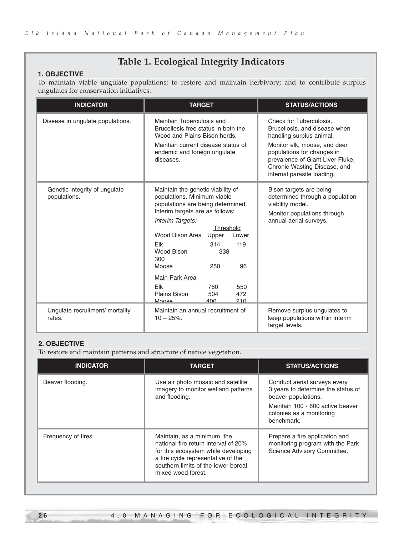# **Table 1. Ecological Integrity Indicators**

## **1. OBJECTIVE**

To maintain viable ungulate populations; to restore and maintain herbivory; and to contribute surplus ungulates for conservation initiatives.

| <b>INDICATOR</b>                              | <b>TARGET</b>                                                                                                                                                                                                                                                                                                                                                                                                 | <b>STATUS/ACTIONS</b>                                                                                                                                                                                                                                |
|-----------------------------------------------|---------------------------------------------------------------------------------------------------------------------------------------------------------------------------------------------------------------------------------------------------------------------------------------------------------------------------------------------------------------------------------------------------------------|------------------------------------------------------------------------------------------------------------------------------------------------------------------------------------------------------------------------------------------------------|
| Disease in ungulate populations.              | Maintain Tuberculosis and<br>Brucellosis free status in both the<br>Wood and Plains Bison herds.<br>Maintain current disease status of<br>endemic and foreign ungulate<br>diseases.                                                                                                                                                                                                                           | Check for Tuberculosis.<br>Brucellosis, and disease when<br>handling surplus animal.<br>Monitor elk, moose, and deer<br>populations for changes in<br>prevalence of Giant Liver Fluke,<br>Chronic Wasting Disease, and<br>internal parasite loading. |
| Genetic integrity of ungulate<br>populations. | Maintain the genetic viability of<br>populations. Minimum viable<br>populations are being determined.<br>Interim targets are as follows:<br>Interim Targets:<br>Threshold<br>Wood Bison Area<br>Upper<br>Lower<br>314<br><b>Flk</b><br>119<br>Wood Bison<br>338<br>300<br>250<br>96<br>Moose<br>Main Park Area<br><b>Flk</b><br>760<br>550<br>Plains Bison<br>504<br>472<br>400<br>210<br>$M$ $O$ $O$ $R$ $R$ | Bison targets are being<br>determined through a population<br>viability model.<br>Monitor populations through<br>annual aerial surveys.                                                                                                              |
| Ungulate recruitment/ mortality<br>rates.     | Maintain an annual recruitment of<br>$10 - 25%$ .                                                                                                                                                                                                                                                                                                                                                             | Remove surplus ungulates to<br>keep populations within interim<br>target levels.                                                                                                                                                                     |

## **2. OBJECTIVE**

To restore and maintain patterns and structure of native vegetation.

| <b>INDICATOR</b>    | <b>TARGET</b>                                                                                                                                                                                                 | <b>STATUS/ACTIONS</b>                                                                                                                                                   |  |  |  |
|---------------------|---------------------------------------------------------------------------------------------------------------------------------------------------------------------------------------------------------------|-------------------------------------------------------------------------------------------------------------------------------------------------------------------------|--|--|--|
| Beaver flooding.    | Use air photo mosaic and satellite<br>imagery to monitor wetland patterns<br>and flooding.                                                                                                                    | Conduct aerial surveys every<br>3 years to determine the status of<br>beaver populations.<br>Maintain 100 - 600 active beaver<br>colonies as a monitoring<br>benchmark. |  |  |  |
| Frequency of fires. | Maintain, as a minimum, the<br>national fire return interval of 20%<br>for this ecosystem while developing<br>a fire cycle representative of the<br>southern limits of the lower boreal<br>mixed wood forest. | Prepare a fire application and<br>monitoring program with the Park<br>Science Advisory Committee.                                                                       |  |  |  |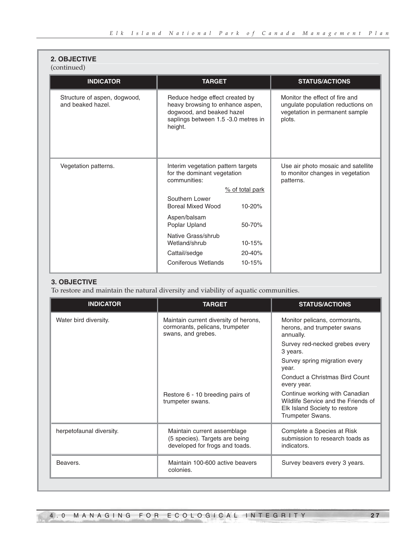| <b>INDICATOR</b>                                  | <b>TARGET</b>                                                                                                                                     |                 | <b>STATUS/ACTIONS</b>                                                                                           |
|---------------------------------------------------|---------------------------------------------------------------------------------------------------------------------------------------------------|-----------------|-----------------------------------------------------------------------------------------------------------------|
| Structure of aspen, dogwood,<br>and beaked hazel. | Reduce hedge effect created by<br>heavy browsing to enhance aspen,<br>dogwood, and beaked hazel<br>saplings between 1.5 -3.0 metres in<br>height. |                 | Monitor the effect of fire and<br>ungulate population reductions on<br>vegetation in permanent sample<br>plots. |
| Vegetation patterns.                              | Interim vegetation pattern targets<br>for the dominant vegetation<br>communities:                                                                 |                 | Use air photo mosaic and satellite<br>to monitor changes in vegetation<br>patterns.                             |
|                                                   |                                                                                                                                                   | % of total park |                                                                                                                 |
|                                                   | Southern Lower<br><b>Boreal Mixed Wood</b>                                                                                                        | 10-20%          |                                                                                                                 |
|                                                   | Aspen/balsam<br>Poplar Upland                                                                                                                     | 50-70%          |                                                                                                                 |
|                                                   | Native Grass/shrub<br>Wetland/shrub                                                                                                               | 10-15%          |                                                                                                                 |
|                                                   | Cattail/sedge                                                                                                                                     | $20 - 40%$      |                                                                                                                 |
|                                                   | Coniferous Wetlands                                                                                                                               | 10-15%          |                                                                                                                 |

## **3. OBJECTIVE**

To restore and maintain the natural diversity and viability of aquatic communities.

| <b>INDICATOR</b>         | <b>TARGET</b>                                                                                   | <b>STATUS/ACTIONS</b>                                                                                                      |
|--------------------------|-------------------------------------------------------------------------------------------------|----------------------------------------------------------------------------------------------------------------------------|
| Water bird diversity.    | Maintain current diversity of herons,<br>cormorants, pelicans, trumpeter<br>swans, and grebes.  | Monitor pelicans, cormorants,<br>herons, and trumpeter swans<br>annually.                                                  |
|                          |                                                                                                 | Survey red-necked grebes every<br>3 years.                                                                                 |
|                          |                                                                                                 | Survey spring migration every<br>year.                                                                                     |
|                          |                                                                                                 | Conduct a Christmas Bird Count<br>every year.                                                                              |
|                          | Restore 6 - 10 breeding pairs of<br>trumpeter swans.                                            | Continue working with Canadian<br>Wildlife Service and the Friends of<br>Elk Island Society to restore<br>Trumpeter Swans. |
| herpetofaunal diversity. | Maintain current assemblage<br>(5 species). Targets are being<br>developed for frogs and toads. | Complete a Species at Risk<br>submission to research toads as<br>indicators.                                               |
| Beavers.                 | Maintain 100-600 active beavers<br>colonies.                                                    | Survey beavers every 3 years.                                                                                              |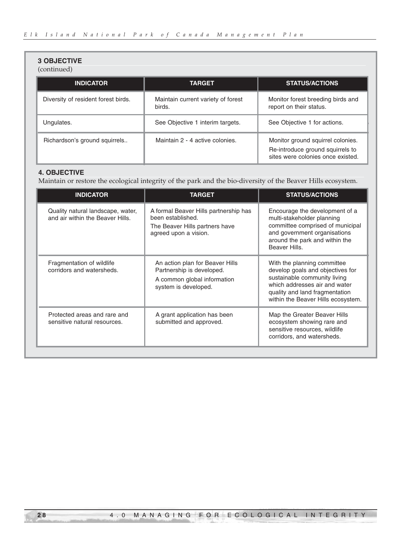## **3 OBJECTIVE**

(continued)

| <b>INDICATOR</b>                    | <b>TARGET</b>                                | <b>STATUS/ACTIONS</b>                                                                                      |  |  |  |
|-------------------------------------|----------------------------------------------|------------------------------------------------------------------------------------------------------------|--|--|--|
| Diversity of resident forest birds. | Maintain current variety of forest<br>birds. | Monitor forest breeding birds and<br>report on their status.                                               |  |  |  |
| Ungulates.                          | See Objective 1 interim targets.             | See Objective 1 for actions.                                                                               |  |  |  |
| Richardson's ground squirrels       | Maintain 2 - 4 active colonies.              | Monitor ground squirrel colonies.<br>Re-introduce ground squirrels to<br>sites were colonies once existed. |  |  |  |

## **4. OBJECTIVE**

Maintain or restore the ecological integrity of the park and the bio-diversity of the Beaver Hills ecosystem.

| <b>INDICATOR</b>                                                      | <b>TARGET</b>                                                                                                         | <b>STATUS/ACTIONS</b>                                                                                                                                                                                    |
|-----------------------------------------------------------------------|-----------------------------------------------------------------------------------------------------------------------|----------------------------------------------------------------------------------------------------------------------------------------------------------------------------------------------------------|
| Quality natural landscape, water,<br>and air within the Beaver Hills. | A formal Beaver Hills partnership has<br>been established.<br>The Beaver Hills partners have<br>agreed upon a vision. | Encourage the development of a<br>multi-stakeholder planning<br>committee comprised of municipal<br>and government organisations<br>around the park and within the<br>Beaver Hills.                      |
| Fragmentation of wildlife<br>corridors and watersheds.                | An action plan for Beaver Hills<br>Partnership is developed.<br>A common global information<br>system is developed.   | With the planning committee<br>develop goals and objectives for<br>sustainable community living<br>which addresses air and water<br>quality and land fragmentation<br>within the Beaver Hills ecosystem. |
| Protected areas and rare and<br>sensitive natural resources.          | A grant application has been<br>submitted and approved.                                                               | Map the Greater Beaver Hills<br>ecosystem showing rare and<br>sensitive resources, wildlife<br>corridors, and watersheds.                                                                                |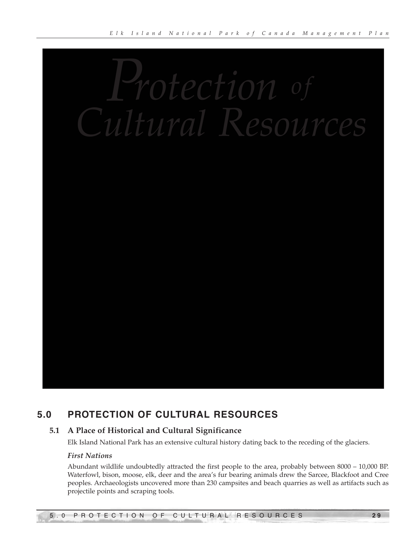

# **5.0 PROTECTION OF CULTURAL RESOURCES**

## **5.1 A Place of Historical and Cultural Significance**

Elk Island National Park has an extensive cultural history dating back to the receding of the glaciers.

## *First Nations*

Abundant wildlife undoubtedly attracted the first people to the area, probably between 8000 – 10,000 BP. Waterfowl, bison, moose, elk, deer and the area's fur bearing animals drew the Sarcee, Blackfoot and Cree peoples. Archaeologists uncovered more than 230 campsites and beach quarries as well as artifacts such as projectile points and scraping tools.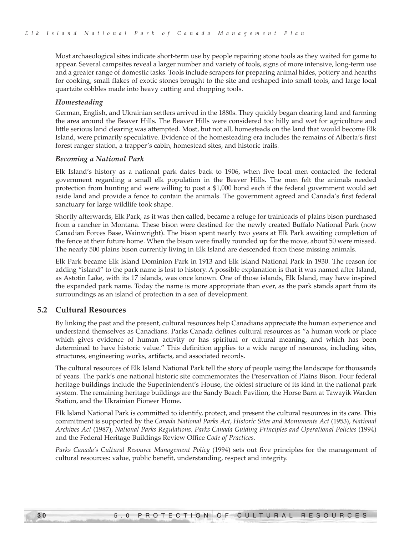Most archaeological sites indicate short-term use by people repairing stone tools as they waited for game to appear. Several campsites reveal a larger number and variety of tools, signs of more intensive, long-term use and a greater range of domestic tasks. Tools include scrapers for preparing animal hides, pottery and hearths for cooking, small flakes of exotic stones brought to the site and reshaped into small tools, and large local quartzite cobbles made into heavy cutting and chopping tools.

## *Homesteading*

German, English, and Ukrainian settlers arrived in the 1880s. They quickly began clearing land and farming the area around the Beaver Hills. The Beaver Hills were considered too hilly and wet for agriculture and little serious land clearing was attempted. Most, but not all, homesteads on the land that would become Elk Island, were primarily speculative. Evidence of the homesteading era includes the remains of Alberta's first forest ranger station, a trapper's cabin, homestead sites, and historic trails.

## *Becoming a National Park*

Elk Island's history as a national park dates back to 1906, when five local men contacted the federal government regarding a small elk population in the Beaver Hills. The men felt the animals needed protection from hunting and were willing to post a \$1,000 bond each if the federal government would set aside land and provide a fence to contain the animals. The government agreed and Canada's first federal sanctuary for large wildlife took shape.

Shortly afterwards, Elk Park, as it was then called, became a refuge for trainloads of plains bison purchased from a rancher in Montana. These bison were destined for the newly created Buffalo National Park (now Canadian Forces Base, Wainwright). The bison spent nearly two years at Elk Park awaiting completion of the fence at their future home. When the bison were finally rounded up for the move, about 50 were missed. The nearly 500 plains bison currently living in Elk Island are descended from these missing animals.

Elk Park became Elk Island Dominion Park in 1913 and Elk Island National Park in 1930. The reason for adding "island" to the park name is lost to history. A possible explanation is that it was named after Island, as Astotin Lake, with its 17 islands, was once known. One of those islands, Elk Island, may have inspired the expanded park name. Today the name is more appropriate than ever, as the park stands apart from its surroundings as an island of protection in a sea of development.

## **5.2 Cultural Resources**

By linking the past and the present, cultural resources help Canadians appreciate the human experience and understand themselves as Canadians. Parks Canada defines cultural resources as "a human work or place which gives evidence of human activity or has spiritual or cultural meaning, and which has been determined to have historic value." This definition applies to a wide range of resources, including sites, structures, engineering works, artifacts, and associated records.

The cultural resources of Elk Island National Park tell the story of people using the landscape for thousands of years. The park's one national historic site commemorates the Preservation of Plains Bison. Four federal heritage buildings include the Superintendent's House, the oldest structure of its kind in the national park system. The remaining heritage buildings are the Sandy Beach Pavilion, the Horse Barn at Tawayik Warden Station, and the Ukrainian Pioneer Home.

Elk Island National Park is committed to identify, protect, and present the cultural resources in its care. This commitment is supported by the *Canada National Parks Act*, *Historic Sites and Monuments Act* (1953), *National Archives Act* (1987), *National Parks Regulations, Parks Canada Guiding Principles and Operational Policies* (1994) and the Federal Heritage Buildings Review Office *Code of Practices*.

*Parks Canada's Cultural Resource Management Policy* (1994) sets out five principles for the management of cultural resources: value, public benefit, understanding, respect and integrity.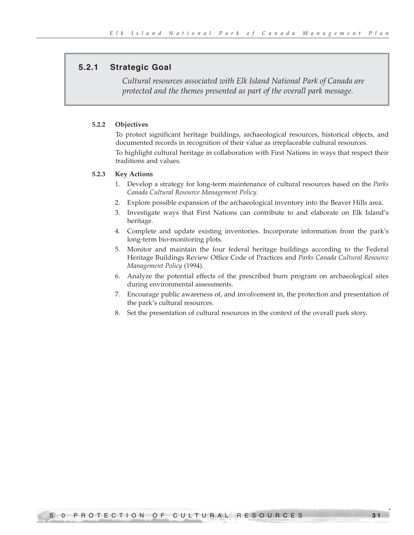## **5.2.1 Strategic Goal**

*Cultural resources associated with Elk Island National Park of Canada are protected and the themes presented as part of the overall park message.*

#### **5.2.2 Objectives**

To protect significant heritage buildings, archaeological resources, historical objects, and documented records in recognition of their value as irreplaceable cultural resources.

To highlight cultural heritage in collaboration with First Nations in ways that respect their traditions and values.

## **5.2.3 Key Actions**

- 1. Develop a strategy for long-term maintenance of cultural resources based on the *Parks Canada Cultural Resource Management Policy*.
- 2. Explore possible expansion of the archaeological inventory into the Beaver Hills area.
- 3. Investigate ways that First Nations can contribute to and elaborate on Elk Island's heritage.
- 4. Complete and update existing inventories. Incorporate information from the park's long-term bio-monitoring plots.
- 5. Monitor and maintain the four federal heritage buildings according to the Federal Heritage Buildings Review Office Code of Practices and *Parks Canada Cultural Resource Management Policy* (1994).
- 6. Analyze the potential effects of the prescribed burn program on archaeological sites during environmental assessments.
- 7. Encourage public awareness of, and involvement in, the protection and presentation of the park's cultural resources.
- 8. Set the presentation of cultural resources in the context of the overall park story.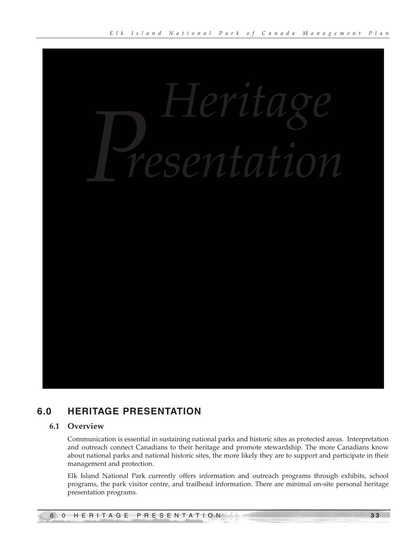

## **6.0 HERITAGE PRESENTATION**

## **6.1 Overview**

Communication is essential in sustaining national parks and historic sites as protected areas. Interpretation and outreach connect Canadians to their heritage and promote stewardship. The more Canadians know about national parks and national historic sites, the more likely they are to support and participate in their management and protection.

Elk Island National Park currently offers information and outreach programs through exhibits, school programs, the park visitor centre, and trailhead information. There are minimal on-site personal heritage presentation programs.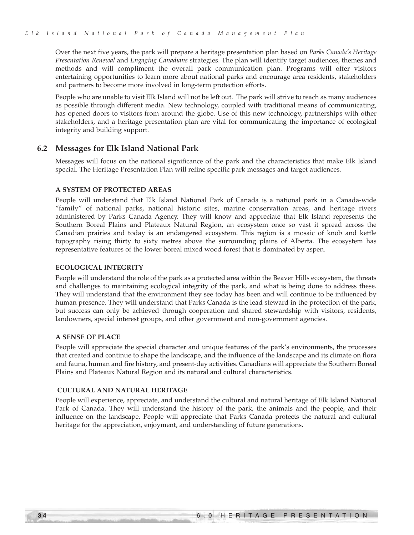Over the next five years, the park will prepare a heritage presentation plan based on *Parks Canada's Heritage Presentation Renewal* and *Engaging Canadians* strategies. The plan will identify target audiences, themes and methods and will compliment the overall park communication plan. Programs will offer visitors entertaining opportunities to learn more about national parks and encourage area residents, stakeholders and partners to become more involved in long-term protection efforts.

People who are unable to visit Elk Island will not be left out. The park will strive to reach as many audiences as possible through different media. New technology, coupled with traditional means of communicating, has opened doors to visitors from around the globe. Use of this new technology, partnerships with other stakeholders, and a heritage presentation plan are vital for communicating the importance of ecological integrity and building support.

## **6.2 Messages for Elk Island National Park**

Messages will focus on the national significance of the park and the characteristics that make Elk Island special. The Heritage Presentation Plan will refine specific park messages and target audiences.

#### **A SYSTEM OF PROTECTED AREAS**

People will understand that Elk Island National Park of Canada is a national park in a Canada-wide "family" of national parks, national historic sites, marine conservation areas, and heritage rivers administered by Parks Canada Agency. They will know and appreciate that Elk Island represents the Southern Boreal Plains and Plateaux Natural Region, an ecosystem once so vast it spread across the Canadian prairies and today is an endangered ecosystem. This region is a mosaic of knob and kettle topography rising thirty to sixty metres above the surrounding plains of Alberta. The ecosystem has representative features of the lower boreal mixed wood forest that is dominated by aspen.

#### **ECOLOGICAL INTEGRITY**

People will understand the role of the park as a protected area within the Beaver Hills ecosystem, the threats and challenges to maintaining ecological integrity of the park, and what is being done to address these. They will understand that the environment they see today has been and will continue to be influenced by human presence. They will understand that Parks Canada is the lead steward in the protection of the park, but success can only be achieved through cooperation and shared stewardship with visitors, residents, landowners, special interest groups, and other government and non-government agencies.

#### **A SENSE OF PLACE**

People will appreciate the special character and unique features of the park's environments, the processes that created and continue to shape the landscape, and the influence of the landscape and its climate on flora and fauna, human and fire history, and present-day activities. Canadians will appreciate the Southern Boreal Plains and Plateaux Natural Region and its natural and cultural characteristics.

#### **CULTURAL AND NATURAL HERITAGE**

People will experience, appreciate, and understand the cultural and natural heritage of Elk Island National Park of Canada. They will understand the history of the park, the animals and the people, and their influence on the landscape. People will appreciate that Parks Canada protects the natural and cultural heritage for the appreciation, enjoyment, and understanding of future generations.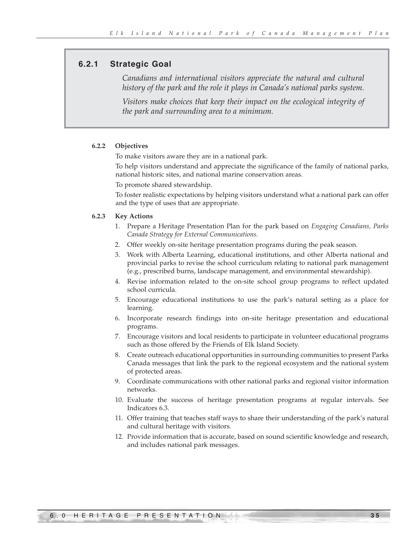## **6.2.1 Strategic Goal**

*Canadians and international visitors appreciate the natural and cultural history of the park and the role it plays in Canada's national parks system.*

*Visitors make choices that keep their impact on the ecological integrity of the park and surrounding area to a minimum.*

#### **6.2.2 Objectives**

To make visitors aware they are in a national park.

To help visitors understand and appreciate the significance of the family of national parks, national historic sites, and national marine conservation areas.

To promote shared stewardship.

To foster realistic expectations by helping visitors understand what a national park can offer and the type of uses that are appropriate.

#### **6.2.3 Key Actions**

- 1. Prepare a Heritage Presentation Plan for the park based on *Engaging Canadians, Parks Canada Strategy for External Communications*.
- 2. Offer weekly on-site heritage presentation programs during the peak season.
- 3. Work with Alberta Learning, educational institutions, and other Alberta national and provincial parks to revise the school curriculum relating to national park management (e.g., prescribed burns, landscape management, and environmental stewardship).
- 4. Revise information related to the on-site school group programs to reflect updated school curricula.
- 5. Encourage educational institutions to use the park's natural setting as a place for learning.
- 6. Incorporate research findings into on-site heritage presentation and educational programs.
- 7. Encourage visitors and local residents to participate in volunteer educational programs such as those offered by the Friends of Elk Island Society.
- 8. Create outreach educational opportunities in surrounding communities to present Parks Canada messages that link the park to the regional ecosystem and the national system of protected areas.
- 9. Coordinate communications with other national parks and regional visitor information networks.
- 10. Evaluate the success of heritage presentation programs at regular intervals. See Indicators 6.3.
- 11. Offer training that teaches staff ways to share their understanding of the park's natural and cultural heritage with visitors.
- 12. Provide information that is accurate, based on sound scientific knowledge and research, and includes national park messages.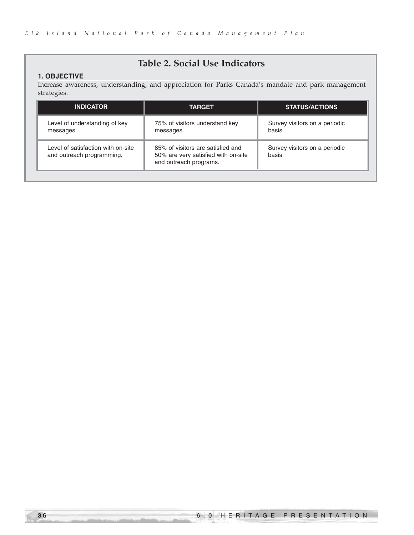# **Table 2. Social Use Indicators**

## **1. OBJECTIVE**

Increase awareness, understanding, and appreciation for Parks Canada's mandate and park management strategies.

| <b>INDICATOR</b>                                                | <b>TARGET</b>                                                                                      | <b>STATUS/ACTIONS</b>                   |
|-----------------------------------------------------------------|----------------------------------------------------------------------------------------------------|-----------------------------------------|
| Level of understanding of key<br>messages.                      | 75% of visitors understand key<br>messages.                                                        | Survey visitors on a periodic<br>basis. |
| Level of satisfaction with on-site<br>and outreach programming. | 85% of visitors are satisfied and<br>50% are very satisfied with on-site<br>and outreach programs. | Survey visitors on a periodic<br>basis. |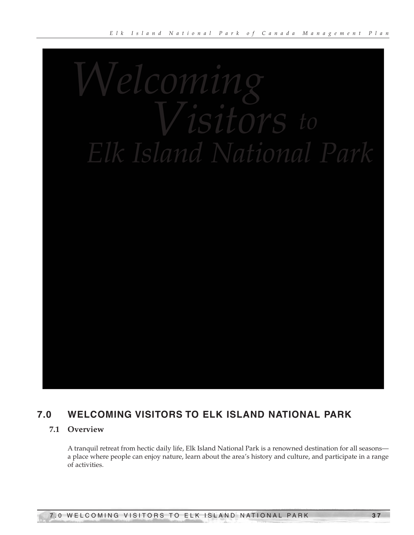

# **7.0 WELCOMING VISITORS TO ELK ISLAND NATIONAL PARK**

## **7.1 Overview**

A tranquil retreat from hectic daily life, Elk Island National Park is a renowned destination for all seasons a place where people can enjoy nature, learn about the area's history and culture, and participate in a range of activities.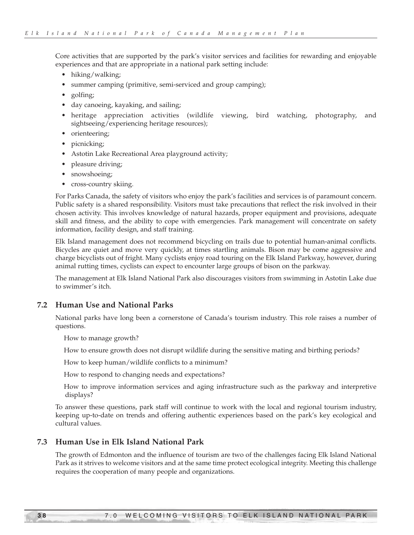Core activities that are supported by the park's visitor services and facilities for rewarding and enjoyable experiences and that are appropriate in a national park setting include:

- hiking/walking;
- summer camping (primitive, semi-serviced and group camping);
- golfing;
- day canoeing, kayaking, and sailing;
- heritage appreciation activities (wildlife viewing, bird watching, photography, and sightseeing/experiencing heritage resources);
- orienteering;
- picnicking;
- Astotin Lake Recreational Area playground activity;
- pleasure driving;
- snowshoeing;
- cross-country skiing.

For Parks Canada, the safety of visitors who enjoy the park's facilities and services is of paramount concern. Public safety is a shared responsibility. Visitors must take precautions that reflect the risk involved in their chosen activity. This involves knowledge of natural hazards, proper equipment and provisions, adequate skill and fitness, and the ability to cope with emergencies. Park management will concentrate on safety information, facility design, and staff training.

Elk Island management does not recommend bicycling on trails due to potential human-animal conflicts. Bicycles are quiet and move very quickly, at times startling animals. Bison may be come aggressive and charge bicyclists out of fright. Many cyclists enjoy road touring on the Elk Island Parkway, however, during animal rutting times, cyclists can expect to encounter large groups of bison on the parkway.

The management at Elk Island National Park also discourages visitors from swimming in Astotin Lake due to swimmer's itch.

## **7.2 Human Use and National Parks**

National parks have long been a cornerstone of Canada's tourism industry. This role raises a number of questions.

How to manage growth?

How to ensure growth does not disrupt wildlife during the sensitive mating and birthing periods?

How to keep human/wildlife conflicts to a minimum?

How to respond to changing needs and expectations?

How to improve information services and aging infrastructure such as the parkway and interpretive displays?

To answer these questions, park staff will continue to work with the local and regional tourism industry, keeping up-to-date on trends and offering authentic experiences based on the park's key ecological and cultural values.

## **7.3 Human Use in Elk Island National Park**

The growth of Edmonton and the influence of tourism are two of the challenges facing Elk Island National Park as it strives to welcome visitors and at the same time protect ecological integrity. Meeting this challenge requires the cooperation of many people and organizations.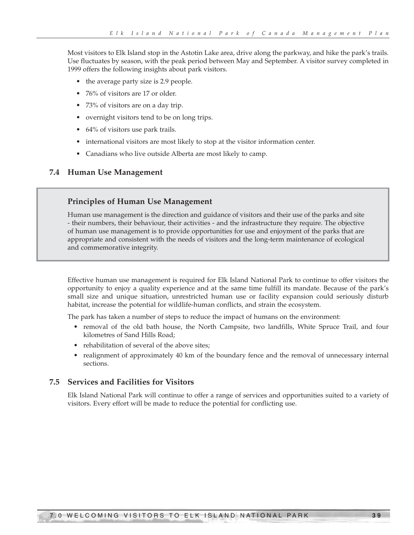Most visitors to Elk Island stop in the Astotin Lake area, drive along the parkway, and hike the park's trails. Use fluctuates by season, with the peak period between May and September. A visitor survey completed in 1999 offers the following insights about park visitors.

- the average party size is 2.9 people.
- 76% of visitors are 17 or older.
- 73% of visitors are on a day trip.
- overnight visitors tend to be on long trips.
- 64% of visitors use park trails.
- international visitors are most likely to stop at the visitor information center.
- Canadians who live outside Alberta are most likely to camp.

## **7.4 Human Use Management**

## **Principles of Human Use Management**

Human use management is the direction and guidance of visitors and their use of the parks and site - their numbers, their behaviour, their activities - and the infrastructure they require. The objective of human use management is to provide opportunities for use and enjoyment of the parks that are appropriate and consistent with the needs of visitors and the long-term maintenance of ecological and commemorative integrity.

Effective human use management is required for Elk Island National Park to continue to offer visitors the opportunity to enjoy a quality experience and at the same time fulfill its mandate. Because of the park's small size and unique situation, unrestricted human use or facility expansion could seriously disturb habitat, increase the potential for wildlife-human conflicts, and strain the ecosystem.

The park has taken a number of steps to reduce the impact of humans on the environment:

- removal of the old bath house, the North Campsite, two landfills, White Spruce Trail, and four kilometres of Sand Hills Road;
- rehabilitation of several of the above sites;
- realignment of approximately 40 km of the boundary fence and the removal of unnecessary internal sections.

## **7.5 Services and Facilities for Visitors**

Elk Island National Park will continue to offer a range of services and opportunities suited to a variety of visitors. Every effort will be made to reduce the potential for conflicting use.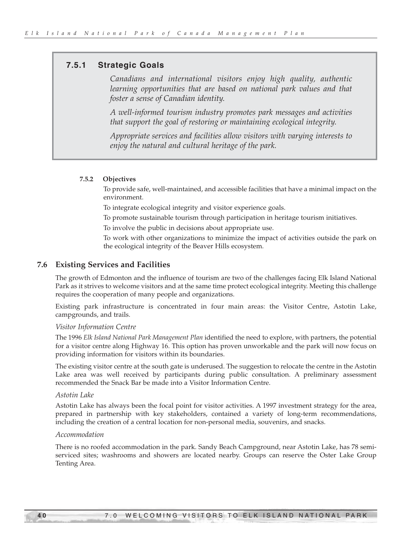## **7.5.1 Strategic Goals**

*Canadians and international visitors enjoy high quality, authentic learning opportunities that are based on national park values and that foster a sense of Canadian identity.*

*A well-informed tourism industry promotes park messages and activities that support the goal of restoring or maintaining ecological integrity.*

*Appropriate services and facilities allow visitors with varying interests to enjoy the natural and cultural heritage of the park.*

## **7.5.2 Objectives**

To provide safe, well-maintained, and accessible facilities that have a minimal impact on the environment.

To integrate ecological integrity and visitor experience goals.

To promote sustainable tourism through participation in heritage tourism initiatives.

To involve the public in decisions about appropriate use.

To work with other organizations to minimize the impact of activities outside the park on the ecological integrity of the Beaver Hills ecosystem.

## **7.6 Existing Services and Facilities**

The growth of Edmonton and the influence of tourism are two of the challenges facing Elk Island National Park as it strives to welcome visitors and at the same time protect ecological integrity. Meeting this challenge requires the cooperation of many people and organizations.

Existing park infrastructure is concentrated in four main areas: the Visitor Centre, Astotin Lake, campgrounds, and trails.

#### *Visitor Information Centre*

The 1996 *Elk Island National Park Management Plan* identified the need to explore, with partners, the potential for a visitor centre along Highway 16. This option has proven unworkable and the park will now focus on providing information for visitors within its boundaries.

The existing visitor centre at the south gate is underused. The suggestion to relocate the centre in the Astotin Lake area was well received by participants during public consultation. A preliminary assessment recommended the Snack Bar be made into a Visitor Information Centre.

#### *Astotin Lake*

Astotin Lake has always been the focal point for visitor activities. A 1997 investment strategy for the area, prepared in partnership with key stakeholders, contained a variety of long-term recommendations, including the creation of a central location for non-personal media, souvenirs, and snacks.

#### *Accommodation*

There is no roofed accommodation in the park. Sandy Beach Campground, near Astotin Lake, has 78 semiserviced sites; washrooms and showers are located nearby. Groups can reserve the Oster Lake Group Tenting Area.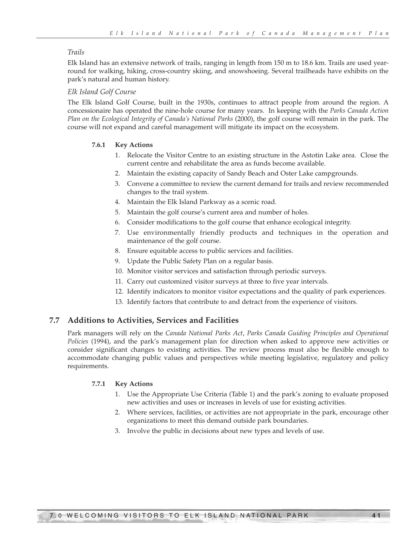## *Trails*

Elk Island has an extensive network of trails, ranging in length from 150 m to 18.6 km. Trails are used yearround for walking, hiking, cross-country skiing, and snowshoeing. Several trailheads have exhibits on the park's natural and human history.

## *Elk Island Golf Course*

The Elk Island Golf Course, built in the 1930s, continues to attract people from around the region. A concessionaire has operated the nine-hole course for many years. In keeping with the *Parks Canada Action Plan on the Ecological Integrity of Canada's National Parks* (2000), the golf course will remain in the park. The course will not expand and careful management will mitigate its impact on the ecosystem.

## **7.6.1 Key Actions**

- 1. Relocate the Visitor Centre to an existing structure in the Astotin Lake area. Close the current centre and rehabilitate the area as funds become available.
- 2. Maintain the existing capacity of Sandy Beach and Oster Lake campgrounds.
- 3. Convene a committee to review the current demand for trails and review recommended changes to the trail system.
- 4. Maintain the Elk Island Parkway as a scenic road.
- 5. Maintain the golf course's current area and number of holes.
- 6. Consider modifications to the golf course that enhance ecological integrity.
- 7. Use environmentally friendly products and techniques in the operation and maintenance of the golf course.
- 8. Ensure equitable access to public services and facilities.
- 9. Update the Public Safety Plan on a regular basis.
- 10. Monitor visitor services and satisfaction through periodic surveys.
- 11. Carry out customized visitor surveys at three to five year intervals.
- 12. Identify indicators to monitor visitor expectations and the quality of park experiences.
- 13. Identify factors that contribute to and detract from the experience of visitors.

## **7.7 Additions to Activities, Services and Facilities**

Park managers will rely on the *Canada National Parks Act*, *Parks Canada Guiding Principles and Operational Policies* (1994), and the park's management plan for direction when asked to approve new activities or consider significant changes to existing activities. The review process must also be flexible enough to accommodate changing public values and perspectives while meeting legislative, regulatory and policy requirements.

## **7.7.1 Key Actions**

- 1. Use the Appropriate Use Criteria (Table 1) and the park's zoning to evaluate proposed new activities and uses or increases in levels of use for existing activities.
- 2. Where services, facilities, or activities are not appropriate in the park, encourage other organizations to meet this demand outside park boundaries.
- 3. Involve the public in decisions about new types and levels of use.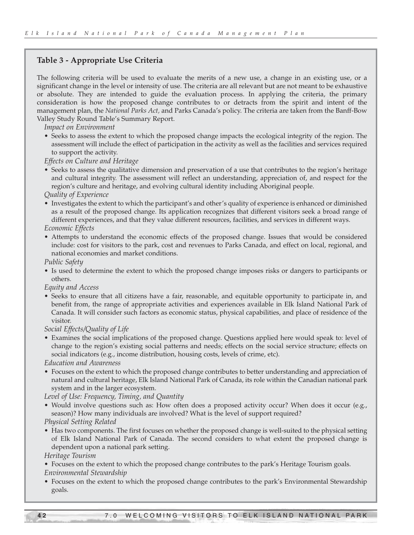## **Table 3 - Appropriate Use Criteria**

The following criteria will be used to evaluate the merits of a new use, a change in an existing use, or a significant change in the level or intensity of use. The criteria are all relevant but are not meant to be exhaustive or absolute. They are intended to guide the evaluation process. In applying the criteria, the primary consideration is how the proposed change contributes to or detracts from the spirit and intent of the management plan, the *National Parks Act,* and Parks Canada's policy. The criteria are taken from the Banff-Bow Valley Study Round Table's Summary Report.

*Impact on Environment*

• Seeks to assess the extent to which the proposed change impacts the ecological integrity of the region. The assessment will include the effect of participation in the activity as well as the facilities and services required to support the activity.

*Effects on Culture and Heritage*

• Seeks to assess the qualitative dimension and preservation of a use that contributes to the region's heritage and cultural integrity. The assessment will reflect an understanding, appreciation of, and respect for the region's culture and heritage, and evolving cultural identity including Aboriginal people.

*Quality of Experience*

- Investigates the extent to which the participant's and other's quality of experience is enhanced or diminished as a result of the proposed change. Its application recognizes that different visitors seek a broad range of different experiences, and that they value different resources, facilities, and services in different ways. *Economic Effects*
- Attempts to understand the economic effects of the proposed change. Issues that would be considered include: cost for visitors to the park, cost and revenues to Parks Canada, and effect on local, regional, and national economies and market conditions.

*Public Safety*

• Is used to determine the extent to which the proposed change imposes risks or dangers to participants or others.

*Equity and Access*

• Seeks to ensure that all citizens have a fair, reasonable, and equitable opportunity to participate in, and benefit from, the range of appropriate activities and experiences available in Elk Island National Park of Canada. It will consider such factors as economic status, physical capabilities, and place of residence of the visitor.

*Social Effects/Quality of Life*

• Examines the social implications of the proposed change. Questions applied here would speak to: level of change to the region's existing social patterns and needs; effects on the social service structure; effects on social indicators (e.g., income distribution, housing costs, levels of crime, etc).

*Education and Awareness*

• Focuses on the extent to which the proposed change contributes to better understanding and appreciation of natural and cultural heritage, Elk Island National Park of Canada, its role within the Canadian national park system and in the larger ecosystem.

*Level of Use: Frequency, Timing, and Quantity*

• Would involve questions such as: How often does a proposed activity occur? When does it occur (e.g., season)? How many individuals are involved? What is the level of support required?

*Physical Setting Related*

• Has two components. The first focuses on whether the proposed change is well-suited to the physical setting of Elk Island National Park of Canada. The second considers to what extent the proposed change is dependent upon a national park setting.

*Heritage Tourism*

• Focuses on the extent to which the proposed change contributes to the park's Heritage Tourism goals. *Environmental Stewardship*

• Focuses on the extent to which the proposed change contributes to the park's Environmental Stewardship goals.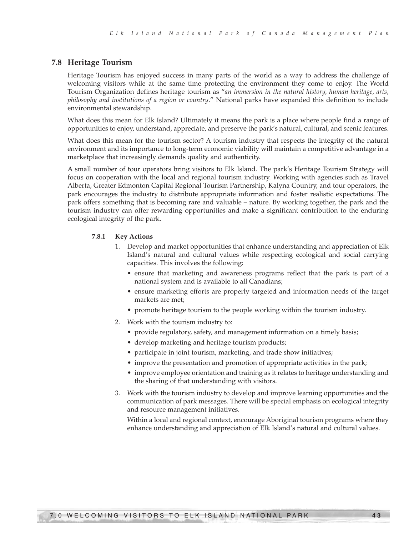## **7.8 Heritage Tourism**

Heritage Tourism has enjoyed success in many parts of the world as a way to address the challenge of welcoming visitors while at the same time protecting the environment they come to enjoy. The World Tourism Organization defines heritage tourism as "*an immersion in the natural history, human heritage, arts, philosophy and institutions of a region or country*." National parks have expanded this definition to include environmental stewardship.

What does this mean for Elk Island? Ultimately it means the park is a place where people find a range of opportunities to enjoy, understand, appreciate, and preserve the park's natural, cultural, and scenic features.

What does this mean for the tourism sector? A tourism industry that respects the integrity of the natural environment and its importance to long-term economic viability will maintain a competitive advantage in a marketplace that increasingly demands quality and authenticity.

A small number of tour operators bring visitors to Elk Island. The park's Heritage Tourism Strategy will focus on cooperation with the local and regional tourism industry. Working with agencies such as Travel Alberta, Greater Edmonton Capital Regional Tourism Partnership, Kalyna Country, and tour operators, the park encourages the industry to distribute appropriate information and foster realistic expectations. The park offers something that is becoming rare and valuable – nature. By working together, the park and the tourism industry can offer rewarding opportunities and make a significant contribution to the enduring ecological integrity of the park.

#### **7.8.1 Key Actions**

- 1. Develop and market opportunities that enhance understanding and appreciation of Elk Island's natural and cultural values while respecting ecological and social carrying capacities. This involves the following:
	- ensure that marketing and awareness programs reflect that the park is part of a national system and is available to all Canadians;
	- ensure marketing efforts are properly targeted and information needs of the target markets are met;
	- promote heritage tourism to the people working within the tourism industry.
- 2. Work with the tourism industry to:
	- provide regulatory, safety, and management information on a timely basis;
	- develop marketing and heritage tourism products;
	- participate in joint tourism, marketing, and trade show initiatives;
	- improve the presentation and promotion of appropriate activities in the park;
	- improve employee orientation and training as it relates to heritage understanding and the sharing of that understanding with visitors.
- 3. Work with the tourism industry to develop and improve learning opportunities and the communication of park messages. There will be special emphasis on ecological integrity and resource management initiatives.

Within a local and regional context, encourage Aboriginal tourism programs where they enhance understanding and appreciation of Elk Island's natural and cultural values.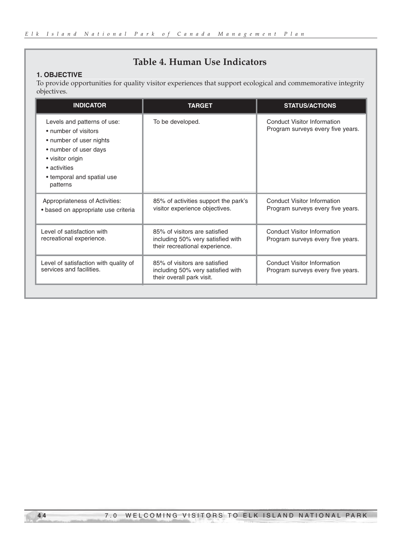# **Table 4. Human Use Indicators**

## **1. OBJECTIVE**

To provide opportunities for quality visitor experiences that support ecological and commemorative integrity objectives.

| <b>INDICATOR</b>                                                                                                                                                                      | <b>TARGET</b>                                                                                        | <b>STATUS/ACTIONS</b>                                                   |
|---------------------------------------------------------------------------------------------------------------------------------------------------------------------------------------|------------------------------------------------------------------------------------------------------|-------------------------------------------------------------------------|
| Levels and patterns of use:<br>• number of visitors<br>• number of user nights<br>• number of user days<br>• visitor origin<br>• activities<br>• temporal and spatial use<br>patterns | To be developed.                                                                                     | <b>Conduct Visitor Information</b><br>Program surveys every five years. |
| Appropriateness of Activities:<br>• based on appropriate use criteria                                                                                                                 | 85% of activities support the park's<br>visitor experience objectives.                               | <b>Conduct Visitor Information</b><br>Program surveys every five years. |
| Level of satisfaction with<br>recreational experience.                                                                                                                                | 85% of visitors are satisfied<br>including 50% very satisfied with<br>their recreational experience. | <b>Conduct Visitor Information</b><br>Program surveys every five years. |
| Level of satisfaction with quality of<br>services and facilities.                                                                                                                     | 85% of visitors are satisfied<br>including 50% very satisfied with<br>their overall park visit.      | Conduct Visitor Information<br>Program surveys every five years.        |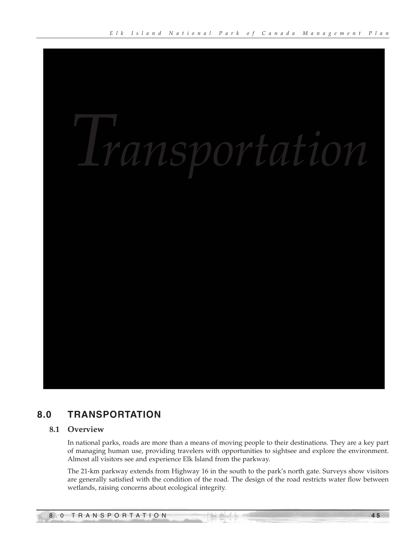

# **8.0 TRANSPORTATION**

## **8.1 Overview**

In national parks, roads are more than a means of moving people to their destinations. They are a key part of managing human use, providing travelers with opportunities to sightsee and explore the environment. Almost all visitors see and experience Elk Island from the parkway.

The 21-km parkway extends from Highway 16 in the south to the park's north gate. Surveys show visitors are generally satisfied with the condition of the road. The design of the road restricts water flow between wetlands, raising concerns about ecological integrity.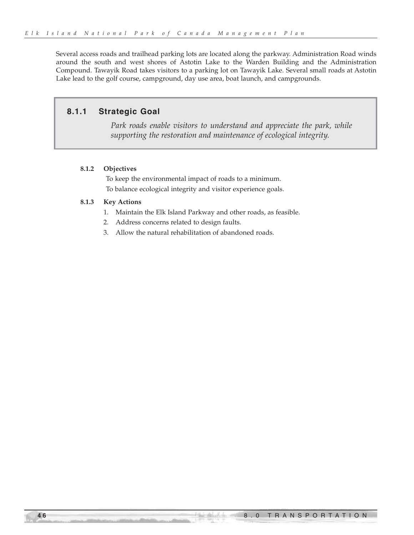Several access roads and trailhead parking lots are located along the parkway. Administration Road winds around the south and west shores of Astotin Lake to the Warden Building and the Administration Compound. Tawayik Road takes visitors to a parking lot on Tawayik Lake. Several small roads at Astotin Lake lead to the golf course, campground, day use area, boat launch, and campgrounds.

## **8.1.1 Strategic Goal**

*Park roads enable visitors to understand and appreciate the park, while supporting the restoration and maintenance of ecological integrity.*

#### **8.1.2 Objectives**

To keep the environmental impact of roads to a minimum. To balance ecological integrity and visitor experience goals.

#### **8.1.3 Key Actions**

- 1. Maintain the Elk Island Parkway and other roads, as feasible.
- 2. Address concerns related to design faults.
- 3. Allow the natural rehabilitation of abandoned roads.

|  | 8.0 TRANSPORTATION |  |  |  |
|--|--------------------|--|--|--|
|  |                    |  |  |  |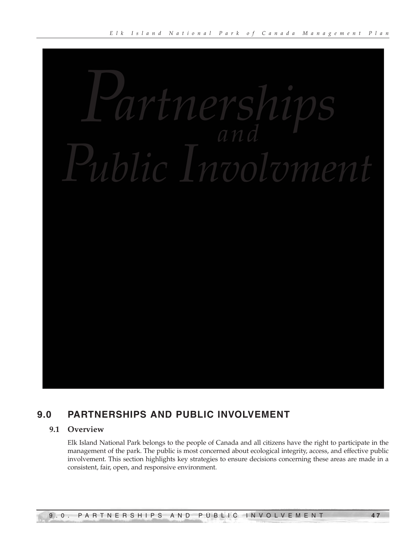

# **9.0 PARTNERSHIPS AND PUBLIC INVOLVEMENT**

## **9.1 Overview**

Elk Island National Park belongs to the people of Canada and all citizens have the right to participate in the management of the park. The public is most concerned about ecological integrity, access, and effective public involvement. This section highlights key strategies to ensure decisions concerning these areas are made in a consistent, fair, open, and responsive environment.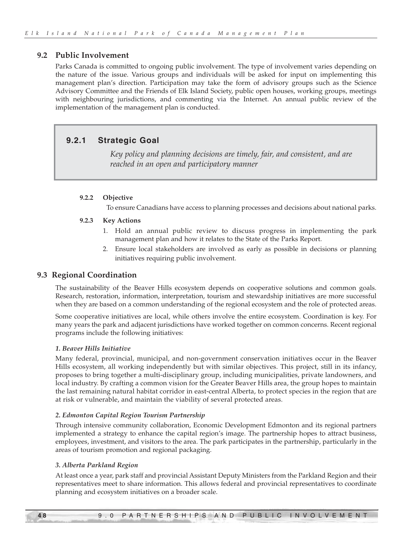## **9.2 Public Involvement**

Parks Canada is committed to ongoing public involvement. The type of involvement varies depending on the nature of the issue. Various groups and individuals will be asked for input on implementing this management plan's direction. Participation may take the form of advisory groups such as the Science Advisory Committee and the Friends of Elk Island Society, public open houses, working groups, meetings with neighbouring jurisdictions, and commenting via the Internet. An annual public review of the implementation of the management plan is conducted.

## **9.2.1 Strategic Goal**

*Key policy and planning decisions are timely, fair, and consistent, and are reached in an open and participatory manner*

#### **9.2.2 Objective**

To ensure Canadians have access to planning processes and decisions about national parks.

#### **9.2.3 Key Actions**

- 1. Hold an annual public review to discuss progress in implementing the park management plan and how it relates to the State of the Parks Report.
- 2. Ensure local stakeholders are involved as early as possible in decisions or planning initiatives requiring public involvement.

## **9.3 Regional Coordination**

The sustainability of the Beaver Hills ecosystem depends on cooperative solutions and common goals. Research, restoration, information, interpretation, tourism and stewardship initiatives are more successful when they are based on a common understanding of the regional ecosystem and the role of protected areas.

Some cooperative initiatives are local, while others involve the entire ecosystem. Coordination is key. For many years the park and adjacent jurisdictions have worked together on common concerns. Recent regional programs include the following initiatives:

#### *1. Beaver Hills Initiative*

Many federal, provincial, municipal, and non-government conservation initiatives occur in the Beaver Hills ecosystem, all working independently but with similar objectives. This project, still in its infancy, proposes to bring together a multi-disciplinary group, including municipalities, private landowners, and local industry. By crafting a common vision for the Greater Beaver Hills area, the group hopes to maintain the last remaining natural habitat corridor in east-central Alberta, to protect species in the region that are at risk or vulnerable, and maintain the viability of several protected areas.

#### *2. Edmonton Capital Region Tourism Partnership*

Through intensive community collaboration, Economic Development Edmonton and its regional partners implemented a strategy to enhance the capital region's image. The partnership hopes to attract business, employees, investment, and visitors to the area. The park participates in the partnership, particularly in the areas of tourism promotion and regional packaging.

#### *3. Alberta Parkland Region*

At least once a year, park staff and provincial Assistant Deputy Ministers from the Parkland Region and their representatives meet to share information. This allows federal and provincial representatives to coordinate planning and ecosystem initiatives on a broader scale.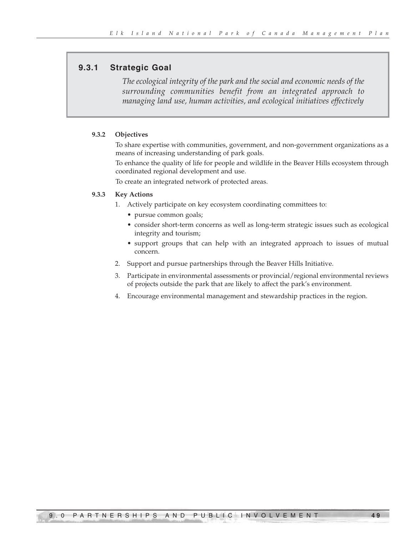## **9.3.1 Strategic Goal**

*The ecological integrity of the park and the social and economic needs of the surrounding communities benefit from an integrated approach to managing land use, human activities, and ecological initiatives effectively*

#### **9.3.2 Objectives**

To share expertise with communities, government, and non-government organizations as a means of increasing understanding of park goals.

To enhance the quality of life for people and wildlife in the Beaver Hills ecosystem through coordinated regional development and use.

To create an integrated network of protected areas.

#### **9.3.3 Key Actions**

- 1. Actively participate on key ecosystem coordinating committees to:
	- pursue common goals;
	- consider short-term concerns as well as long-term strategic issues such as ecological integrity and tourism;
	- support groups that can help with an integrated approach to issues of mutual concern.
- 2. Support and pursue partnerships through the Beaver Hills Initiative.
- 3. Participate in environmental assessments or provincial/regional environmental reviews of projects outside the park that are likely to affect the park's environment.
- 4. Encourage environmental management and stewardship practices in the region.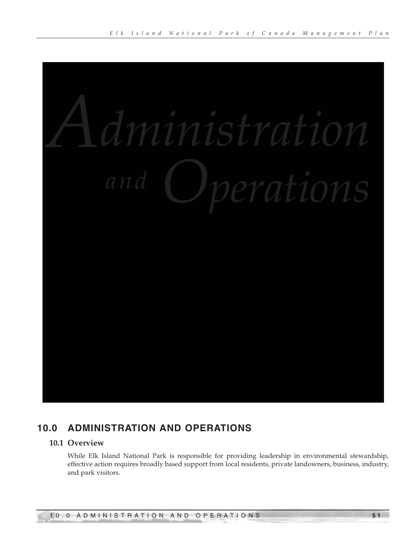

# **10.0 ADMINISTRATION AND OPERATIONS**

## **10.1 Overview**

While Elk Island National Park is responsible for providing leadership in environmental stewardship, effective action requires broadly based support from local residents, private landowners, business, industry, and park visitors.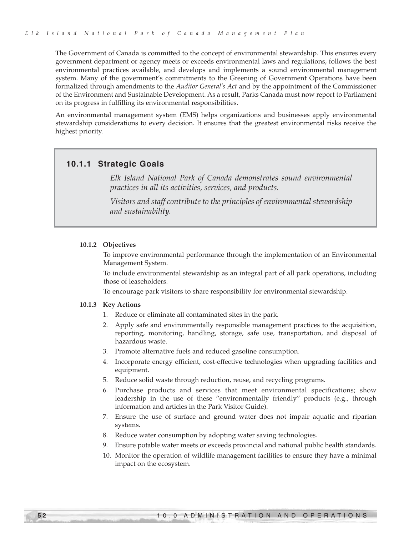The Government of Canada is committed to the concept of environmental stewardship. This ensures every government department or agency meets or exceeds environmental laws and regulations, follows the best environmental practices available, and develops and implements a sound environmental management system. Many of the government's commitments to the Greening of Government Operations have been formalized through amendments to the *Auditor General's Act* and by the appointment of the Commissioner of the Environment and Sustainable Development. As a result, Parks Canada must now report to Parliament on its progress in fulfilling its environmental responsibilities.

An environmental management system (EMS) helps organizations and businesses apply environmental stewardship considerations to every decision. It ensures that the greatest environmental risks receive the highest priority.

## **10.1.1 Strategic Goals**

*Elk Island National Park of Canada demonstrates sound environmental practices in all its activities, services, and products.*

*Visitors and staff contribute to the principles of environmental stewardship and sustainability.*

#### **10.1.2 Objectives**

To improve environmental performance through the implementation of an Environmental Management System.

To include environmental stewardship as an integral part of all park operations, including those of leaseholders.

To encourage park visitors to share responsibility for environmental stewardship.

#### **10.1.3 Key Actions**

- 1. Reduce or eliminate all contaminated sites in the park.
- 2. Apply safe and environmentally responsible management practices to the acquisition, reporting, monitoring, handling, storage, safe use, transportation, and disposal of hazardous waste.
- 3. Promote alternative fuels and reduced gasoline consumption.
- 4. Incorporate energy efficient, cost-effective technologies when upgrading facilities and equipment.
- 5. Reduce solid waste through reduction, reuse, and recycling programs.
- 6. Purchase products and services that meet environmental specifications; show leadership in the use of these "environmentally friendly" products (e.g., through information and articles in the Park Visitor Guide).
- 7. Ensure the use of surface and ground water does not impair aquatic and riparian systems.
- 8. Reduce water consumption by adopting water saving technologies.
- 9. Ensure potable water meets or exceeds provincial and national public health standards.
- 10. Monitor the operation of wildlife management facilities to ensure they have a minimal impact on the ecosystem.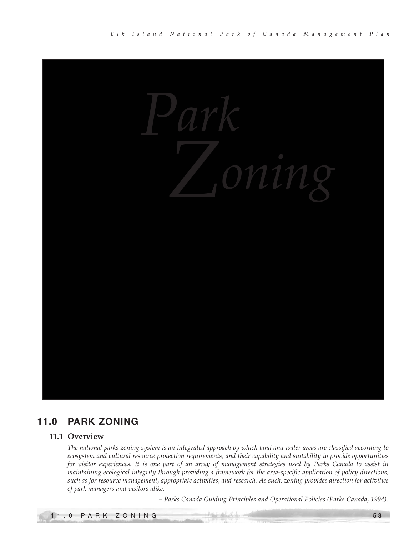

# **11.0 PARK ZONING**

## **11.1 Overview**

*The national parks zoning system is an integrated approach by which land and water areas are classified according to ecosystem and cultural resource protection requirements, and their capability and suitability to provide opportunities for visitor experiences. It is one part of an array of management strategies used by Parks Canada to assist in maintaining ecological integrity through providing a framework for the area-specific application of policy directions, such as for resource management, appropriate activities, and research. As such, zoning provides direction for activities of park managers and visitors alike.*

*– Parks Canada Guiding Principles and Operational Policies (Parks Canada, 1994)*.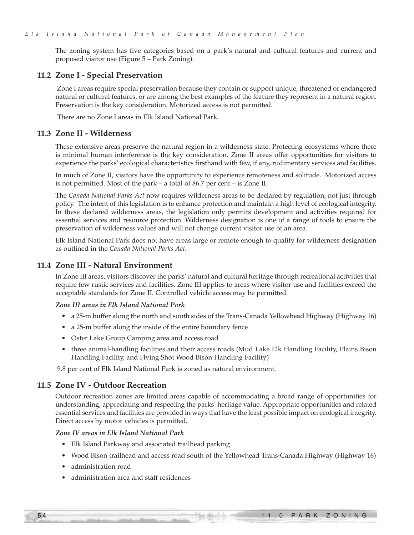The zoning system has five categories based on a park's natural and cultural features and current and proposed visitor use (Figure 5 – Park Zoning).

## **11.2 Zone I - Special Preservation**

Zone I areas require special preservation because they contain or support unique, threatened or endangered natural or cultural features, or are among the best examples of the feature they represent in a natural region. Preservation is the key consideration. Motorized access is not permitted.

There are no Zone I areas in Elk Island National Park.

## **11.3 Zone II - Wilderness**

These extensive areas preserve the natural region in a wilderness state. Protecting ecosystems where there is minimal human interference is the key consideration. Zone II areas offer opportunities for visitors to experience the parks' ecological characteristics firsthand with few, if any, rudimentary services and facilities.

In much of Zone II, visitors have the opportunity to experience remoteness and solitude. Motorized access is not permitted. Most of the park – a total of 86.7 per cent – is Zone II.

The *Canada National Parks Act* now requires wilderness areas to be declared by regulation, not just through policy. The intent of this legislation is to enhance protection and maintain a high level of ecological integrity. In these declared wilderness areas, the legislation only permits development and activities required for essential services and resource protection. Wilderness designation is one of a range of tools to ensure the preservation of wilderness values and will not change current visitor use of an area.

Elk Island National Park does not have areas large or remote enough to qualify for wilderness designation as outlined in the *Canada National Parks Act.*

## **11.4 Zone III - Natural Environment**

In Zone III areas, visitors discover the parks' natural and cultural heritage through recreational activities that require few rustic services and facilities. Zone III applies to areas where visitor use and facilities exceed the acceptable standards for Zone II. Controlled vehicle access may be permitted.

#### *Zone III areas in Elk Island National Park*

- a 25-m buffer along the north and south sides of the Trans-Canada Yellowhead Highway (Highway 16)
- a 25-m buffer along the inside of the entire boundary fence
- Oster Lake Group Camping area and access road
- three animal-handling facilities and their access roads (Mud Lake Elk Handling Facility, Plains Bison Handling Facility, and Flying Shot Wood Bison Handling Facility)

9.8 per cent of Elk Island National Park is zoned as natural environment.

## **11.5 Zone IV - Outdoor Recreation**

Outdoor recreation zones are limited areas capable of accommodating a broad range of opportunities for understanding, appreciating and respecting the parks' heritage value. Appropriate opportunities and related essential services and facilities are provided in ways that have the least possible impact on ecological integrity. Direct access by motor vehicles is permitted.

#### *Zone IV areas in Elk Island National Park*

- Elk Island Parkway and associated trailhead parking
- Wood Bison trailhead and access road south of the Yellowhead Trans-Canada Highway (Highway 16)
- administration road
- administration area and staff residences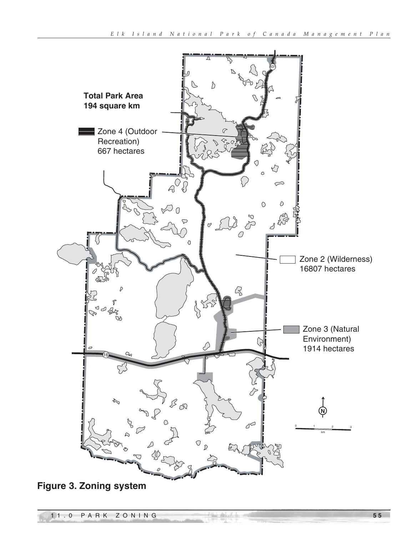

**Figure 3. Zoning system**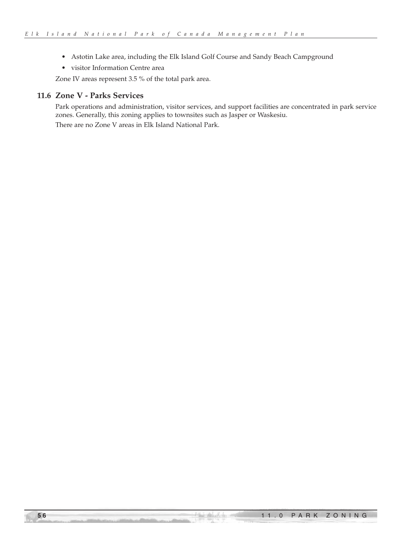- Astotin Lake area, including the Elk Island Golf Course and Sandy Beach Campground
- visitor Information Centre area

Zone IV areas represent 3.5 % of the total park area.

## **11.6 Zone V - Parks Services**

Park operations and administration, visitor services, and support facilities are concentrated in park service zones. Generally, this zoning applies to townsites such as Jasper or Waskesiu. There are no Zone V areas in Elk Island National Park.

|  |  | 11.0 PARK ZONING |
|--|--|------------------|
|  |  |                  |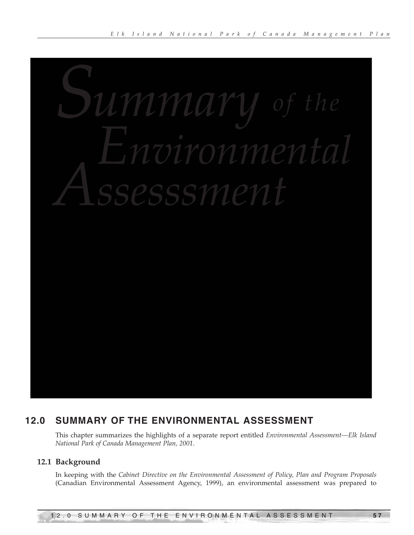

# **12.0 SUMMARY OF THE ENVIRONMENTAL ASSESSMENT**

This chapter summarizes the highlights of a separate report entitled *Environmental Assessment—Elk Island National Park of Canada Management Plan, 2001*.

## **12.1 Background**

In keeping with the *Cabinet Directive on the Environmental Assessment of Policy, Plan and Program Proposals* (Canadian Environmental Assessment Agency, 1999), an environmental assessment was prepared to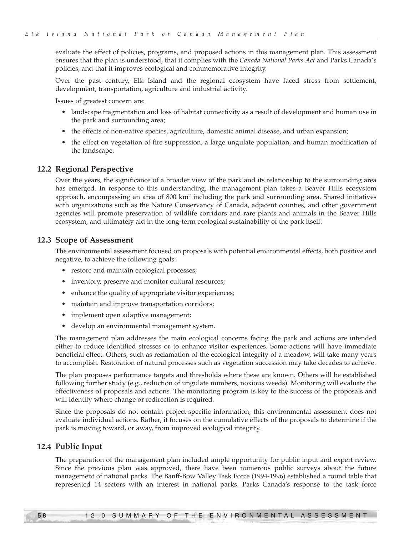evaluate the effect of policies, programs, and proposed actions in this management plan. This assessment ensures that the plan is understood, that it complies with the *Canada National Parks Act* and Parks Canada's policies, and that it improves ecological and commemorative integrity.

Over the past century, Elk Island and the regional ecosystem have faced stress from settlement, development, transportation, agriculture and industrial activity.

Issues of greatest concern are:

- landscape fragmentation and loss of habitat connectivity as a result of development and human use in the park and surrounding area;
- the effects of non-native species, agriculture, domestic animal disease, and urban expansion;
- the effect on vegetation of fire suppression, a large ungulate population, and human modification of the landscape.

## **12.2 Regional Perspective**

Over the years, the significance of a broader view of the park and its relationship to the surrounding area has emerged. In response to this understanding, the management plan takes a Beaver Hills ecosystem approach, encompassing an area of 800 km<sup>2</sup> including the park and surrounding area. Shared initiatives with organizations such as the Nature Conservancy of Canada, adjacent counties, and other government agencies will promote preservation of wildlife corridors and rare plants and animals in the Beaver Hills ecosystem, and ultimately aid in the long-term ecological sustainability of the park itself.

## **12.3 Scope of Assessment**

The environmental assessment focused on proposals with potential environmental effects, both positive and negative, to achieve the following goals:

- restore and maintain ecological processes;
- inventory, preserve and monitor cultural resources;
- enhance the quality of appropriate visitor experiences;
- maintain and improve transportation corridors;
- implement open adaptive management;
- develop an environmental management system.

The management plan addresses the main ecological concerns facing the park and actions are intended either to reduce identified stresses or to enhance visitor experiences. Some actions will have immediate beneficial effect. Others, such as reclamation of the ecological integrity of a meadow, will take many years to accomplish. Restoration of natural processes such as vegetation succession may take decades to achieve.

The plan proposes performance targets and thresholds where these are known. Others will be established following further study (e.g., reduction of ungulate numbers, noxious weeds). Monitoring will evaluate the effectiveness of proposals and actions. The monitoring program is key to the success of the proposals and will identify where change or redirection is required.

Since the proposals do not contain project-specific information, this environmental assessment does not evaluate individual actions. Rather, it focuses on the cumulative effects of the proposals to determine if the park is moving toward, or away, from improved ecological integrity.

## **12.4 Public Input**

The preparation of the management plan included ample opportunity for public input and expert review. Since the previous plan was approved, there have been numerous public surveys about the future management of national parks. The Banff-Bow Valley Task Force (1994-1996) established a round table that represented 14 sectors with an interest in national parks. Parks Canada's response to the task force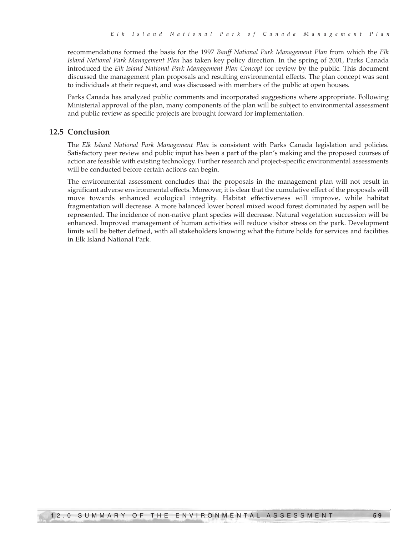recommendations formed the basis for the 1997 *Banff National Park Management Plan* from which the *Elk Island National Park Management Plan* has taken key policy direction. In the spring of 2001, Parks Canada introduced the *Elk Island National Park Management Plan Concept* for review by the public. This document discussed the management plan proposals and resulting environmental effects. The plan concept was sent to individuals at their request, and was discussed with members of the public at open houses.

Parks Canada has analyzed public comments and incorporated suggestions where appropriate. Following Ministerial approval of the plan, many components of the plan will be subject to environmental assessment and public review as specific projects are brought forward for implementation.

## **12.5 Conclusion**

The *Elk Island National Park Management Plan* is consistent with Parks Canada legislation and policies. Satisfactory peer review and public input has been a part of the plan's making and the proposed courses of action are feasible with existing technology. Further research and project-specific environmental assessments will be conducted before certain actions can begin.

The environmental assessment concludes that the proposals in the management plan will not result in significant adverse environmental effects. Moreover, it is clear that the cumulative effect of the proposals will move towards enhanced ecological integrity. Habitat effectiveness will improve, while habitat fragmentation will decrease. A more balanced lower boreal mixed wood forest dominated by aspen will be represented. The incidence of non-native plant species will decrease. Natural vegetation succession will be enhanced. Improved management of human activities will reduce visitor stress on the park. Development limits will be better defined, with all stakeholders knowing what the future holds for services and facilities in Elk Island National Park.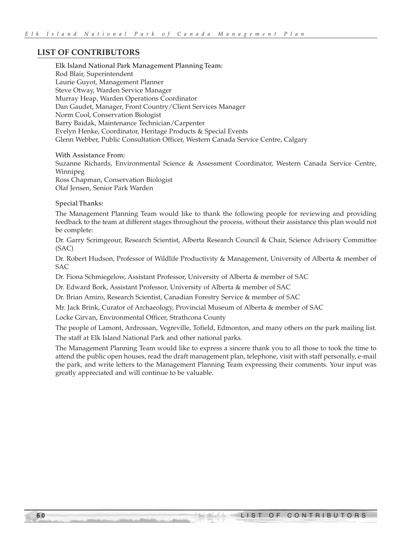## **LIST OF CONTRIBUTORS**

**Elk Island National Park Management Planning Team:** Rod Blair, Superintendent Laurie Guyot, Management Planner Steve Otway, Warden Service Manager Murray Heap, Warden Operations Coordinator Dan Gaudet, Manager, Front Country/Client Services Manager Norm Cool, Conservation Biologist Barry Baidak, Maintenance Technician/Carpenter Evelyn Henke, Coordinator, Heritage Products & Special Events Glenn Webber, Public Consultation Officer, Western Canada Service Centre, Calgary

**With Assistance From:** Suzanne Richards, Environmental Science & Assessment Coordinator, Western Canada Service Centre, Winnipeg Ross Chapman, Conservation Biologist Olaf Jensen, Senior Park Warden

**Special Thanks:**

The Management Planning Team would like to thank the following people for reviewing and providing feedback to the team at different stages throughout the process, without their assistance this plan would not be complete:

Dr. Garry Scrimgeour, Research Scientist, Alberta Research Council & Chair, Science Advisory Committee (SAC)

Dr. Robert Hudson, Professor of Wildlife Productivity & Management, University of Alberta & member of SAC

Dr. Fiona Schmiegelow, Assistant Professor, University of Alberta & member of SAC

Dr. Edward Bork, Assistant Professor, University of Alberta & member of SAC

Dr. Brian Amiro, Research Scientist, Canadian Forestry Service & member of SAC

Mr. Jack Brink, Curator of Archaeology, Provincial Museum of Alberta & member of SAC

Locke Girvan, Environmental Officer, Strathcona County

The people of Lamont, Ardrossan, Vegreville, Tofield, Edmonton, and many others on the park mailing list.

The staff at Elk Island National Park and other national parks.

The Management Planning Team would like to express a sincere thank you to all those to took the time to attend the public open houses, read the draft management plan, telephone, visit with staff personally, e-mail the park, and write letters to the Management Planning Team expressing their comments. Your input was greatly appreciated and will continue to be valuable.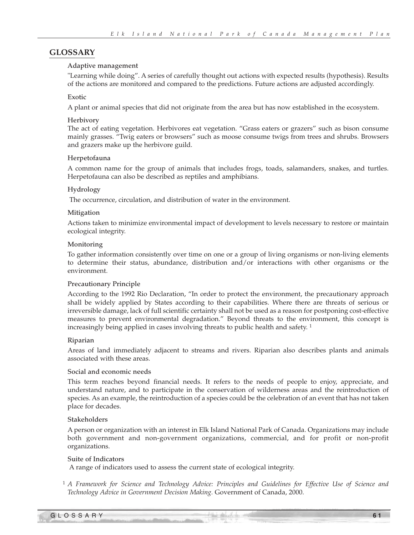## **GLOSSARY**

## **Adaptive management**

"Learning while doing". A series of carefully thought out actions with expected results (hypothesis). Results of the actions are monitored and compared to the predictions. Future actions are adjusted accordingly.

## **Exotic**

A plant or animal species that did not originate from the area but has now established in the ecosystem.

## **Herbivory**

The act of eating vegetation. Herbivores eat vegetation. "Grass eaters or grazers" such as bison consume mainly grasses. "Twig eaters or browsers" such as moose consume twigs from trees and shrubs. Browsers and grazers make up the herbivore guild.

## **Herpetofauna**

A common name for the group of animals that includes frogs, toads, salamanders, snakes, and turtles. Herpetofauna can also be described as reptiles and amphibians.

## **Hydrology**

The occurrence, circulation, and distribution of water in the environment.

#### **Mitigation**

Actions taken to minimize environmental impact of development to levels necessary to restore or maintain ecological integrity.

#### **Monitoring**

To gather information consistently over time on one or a group of living organisms or non-living elements to determine their status, abundance, distribution and/or interactions with other organisms or the environment.

## **Precautionary Principle**

According to the 1992 Rio Declaration, "In order to protect the environment, the precautionary approach shall be widely applied by States according to their capabilities. Where there are threats of serious or irreversible damage, lack of full scientific certainty shall not be used as a reason for postponing cost-effective measures to prevent environmental degradation." Beyond threats to the environment, this concept is increasingly being applied in cases involving threats to public health and safety. 1

#### **Riparian**

Areas of land immediately adjacent to streams and rivers. Riparian also describes plants and animals associated with these areas.

## **Social and economic needs**

This term reaches beyond financial needs. It refers to the needs of people to enjoy, appreciate, and understand nature, and to participate in the conservation of wilderness areas and the reintroduction of species. As an example, the reintroduction of a species could be the celebration of an event that has not taken place for decades.

#### **Stakeholders**

A person or organization with an interest in Elk Island National Park of Canada. Organizations may include both government and non-government organizations, commercial, and for profit or non-profit organizations.

#### **Suite of Indicators**

A range of indicators used to assess the current state of ecological integrity.

<sup>1</sup> *A Framework for Science and Technology Advice: Principles and Guidelines for Effective Use of Science and Technology Advice in Government Decision Making.* Government of Canada, 2000.